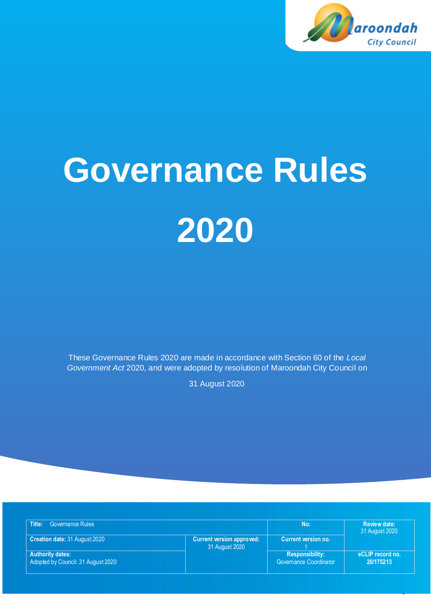

0

# **Governance Rules 2020**

These Governance Rules 2020 are made in accordance with Section 60 of the *Local Government Act* 2020, and were adopted by resolution of Maroondah City Council on

31 August 2020

| Title:<br><b>Governance Rules</b>                             |                                                    | No:                                              | <b>Review date:</b><br>31 August 2020 |
|---------------------------------------------------------------|----------------------------------------------------|--------------------------------------------------|---------------------------------------|
| Creation date: 31 August 2020                                 | <b>Current version approved:</b><br>31 August 2020 | Current version no.                              |                                       |
| <b>Authority dates:</b><br>Adopted by Council: 31 August 2020 |                                                    | <b>Responsibility:</b><br>Governance Coordinator | eCLIP record no.<br>20/175213         |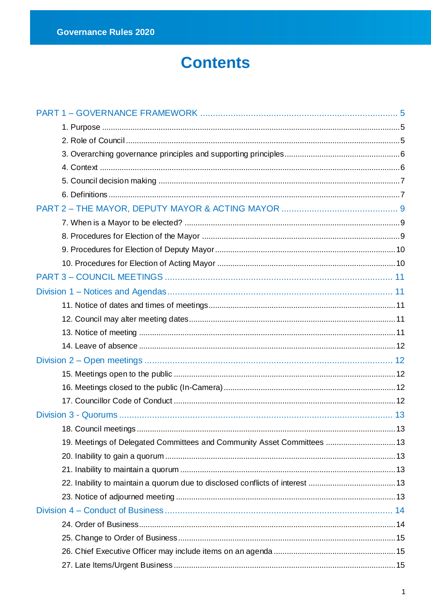# **Contents**

| 19. Meetings of Delegated Committees and Community Asset Committees  13 |  |
|-------------------------------------------------------------------------|--|
|                                                                         |  |
|                                                                         |  |
|                                                                         |  |
|                                                                         |  |
|                                                                         |  |
|                                                                         |  |
|                                                                         |  |
|                                                                         |  |
|                                                                         |  |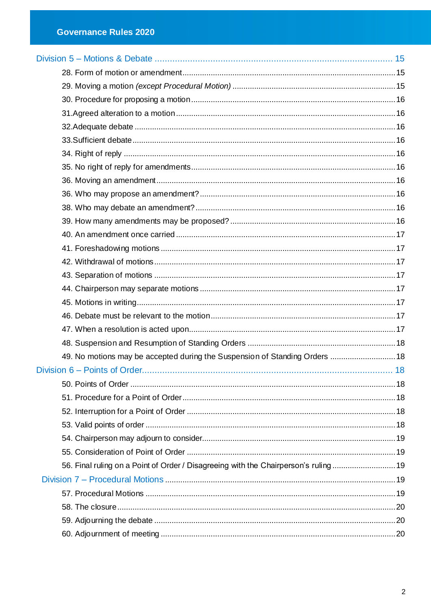| 49. No motions may be accepted during the Suspension of Standing Orders  18         |  |
|-------------------------------------------------------------------------------------|--|
|                                                                                     |  |
|                                                                                     |  |
|                                                                                     |  |
|                                                                                     |  |
|                                                                                     |  |
|                                                                                     |  |
|                                                                                     |  |
| 56. Final ruling on a Point of Order / Disagreeing with the Chairperson's ruling 19 |  |
|                                                                                     |  |
|                                                                                     |  |
|                                                                                     |  |
|                                                                                     |  |
|                                                                                     |  |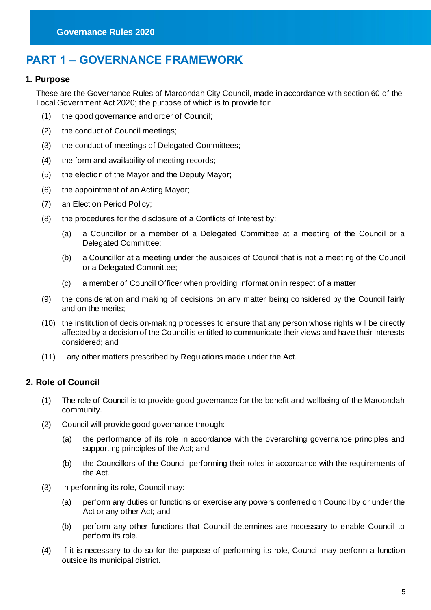# <span id="page-5-0"></span>**PART 1 – GOVERNANCE FRAMEWORK**

#### <span id="page-5-1"></span>**1. Purpose**

These are the Governance Rules of Maroondah City Council, made in accordance with section 60 of the Local Government Act 2020; the purpose of which is to provide for:

- (1) the good governance and order of Council;
- (2) the conduct of Council meetings;
- (3) the conduct of meetings of Delegated Committees;
- (4) the form and availability of meeting records;
- (5) the election of the Mayor and the Deputy Mayor;
- (6) the appointment of an Acting Mayor;
- (7) an Election Period Policy;
- (8) the procedures for the disclosure of a Conflicts of Interest by:
	- (a) a Councillor or a member of a Delegated Committee at a meeting of the Council or a Delegated Committee;
	- (b) a Councillor at a meeting under the auspices of Council that is not a meeting of the Council or a Delegated Committee;
	- (c) a member of Council Officer when providing information in respect of a matter.
- (9) the consideration and making of decisions on any matter being considered by the Council fairly and on the merits;
- (10) the institution of decision-making processes to ensure that any person whose rights will be directly affected by a decision of the Council is entitled to communicate their views and have their interests considered; and
- (11) any other matters prescribed by Regulations made under the Act.

#### <span id="page-5-2"></span>**2. Role of Council**

- (1) The role of Council is to provide good governance for the benefit and wellbeing of the Maroondah community.
- (2) Council will provide good governance through:
	- (a) the performance of its role in accordance with the overarching governance principles and supporting principles of the Act; and
	- (b) the Councillors of the Council performing their roles in accordance with the requirements of the Act.
- (3) In performing its role, Council may:
	- (a) perform any duties or functions or exercise any powers conferred on Council by or under the Act or any other Act; and
	- (b) perform any other functions that Council determines are necessary to enable Council to perform its role.
- (4) If it is necessary to do so for the purpose of performing its role, Council may perform a function outside its municipal district.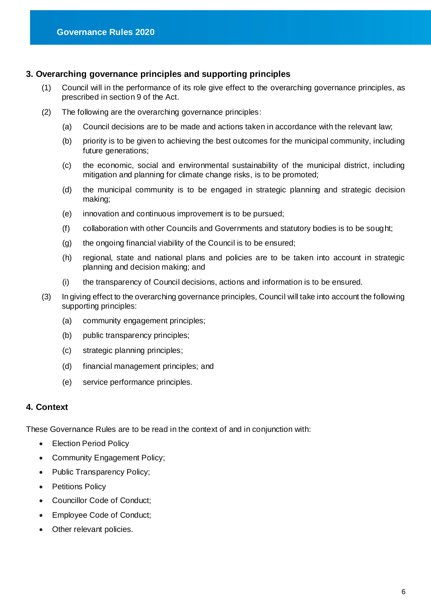# <span id="page-6-0"></span>**3. Overarching governance principles and supporting principles**

- (1) Council will in the performance of its role give effect to the overarching governance principles, as prescribed in section 9 of the Act.
- (2) The following are the overarching governance principles:
	- (a) Council decisions are to be made and actions taken in accordance with the relevant law;
	- (b) priority is to be given to achieving the best outcomes for the municipal community, including future generations;
	- (c) the economic, social and environmental sustainability of the municipal district, including mitigation and planning for climate change risks, is to be promoted;
	- (d) the municipal community is to be engaged in strategic planning and strategic decision making;
	- (e) innovation and continuous improvement is to be pursued;
	- (f) collaboration with other Councils and Governments and statutory bodies is to be sought;
	- (g) the ongoing financial viability of the Council is to be ensured;
	- (h) regional, state and national plans and policies are to be taken into account in strategic planning and decision making; and
	- (i) the transparency of Council decisions, actions and information is to be ensured.
- (3) In giving effect to the overarching governance principles, Council will take into account the following supporting principles:
	- (a) community engagement principles;
	- (b) public transparency principles;
	- (c) strategic planning principles;
	- (d) financial management principles; and
	- (e) service performance principles.

#### <span id="page-6-1"></span>**4. Context**

These Governance Rules are to be read in the context of and in conjunction with:

- Election Period Policy
- Community Engagement Policy;
- Public Transparency Policy;
- Petitions Policy
- Councillor Code of Conduct;
- Employee Code of Conduct;
- Other relevant policies.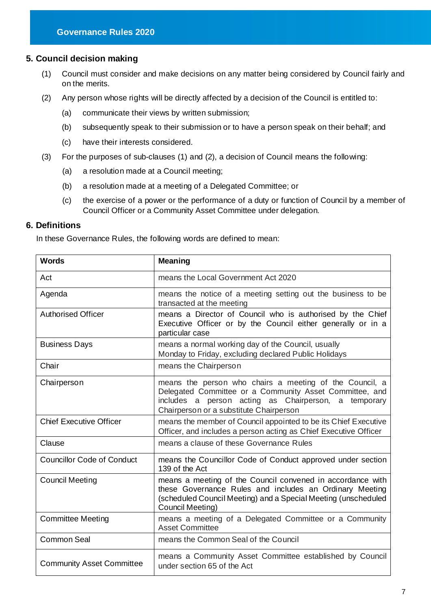## <span id="page-7-0"></span>**5. Council decision making**

- (1) Council must consider and make decisions on any matter being considered by Council fairly and on the merits.
- (2) Any person whose rights will be directly affected by a decision of the Council is entitled to:
	- (a) communicate their views by written submission;
	- (b) subsequently speak to their submission or to have a person speak on their behalf; and
	- (c) have their interests considered.
- (3) For the purposes of sub-clauses (1) and (2), a decision of Council means the following:
	- (a) a resolution made at a Council meeting;
	- (b) a resolution made at a meeting of a Delegated Committee; or
	- (c) the exercise of a power or the performance of a duty or function of Council by a member of Council Officer or a Community Asset Committee under delegation.

#### <span id="page-7-1"></span>**6. Definitions**

In these Governance Rules, the following words are defined to mean:

| <b>Words</b>                      | <b>Meaning</b>                                                                                                                                                                                                           |
|-----------------------------------|--------------------------------------------------------------------------------------------------------------------------------------------------------------------------------------------------------------------------|
| Act                               | means the Local Government Act 2020                                                                                                                                                                                      |
| Agenda                            | means the notice of a meeting setting out the business to be<br>transacted at the meeting                                                                                                                                |
| <b>Authorised Officer</b>         | means a Director of Council who is authorised by the Chief<br>Executive Officer or by the Council either generally or in a<br>particular case                                                                            |
| <b>Business Days</b>              | means a normal working day of the Council, usually<br>Monday to Friday, excluding declared Public Holidays                                                                                                               |
| Chair                             | means the Chairperson                                                                                                                                                                                                    |
| Chairperson                       | means the person who chairs a meeting of the Council, a<br>Delegated Committee or a Community Asset Committee, and<br>includes a person acting as Chairperson,<br>a temporary<br>Chairperson or a substitute Chairperson |
| <b>Chief Executive Officer</b>    | means the member of Council appointed to be its Chief Executive<br>Officer, and includes a person acting as Chief Executive Officer                                                                                      |
| Clause                            | means a clause of these Governance Rules                                                                                                                                                                                 |
| <b>Councillor Code of Conduct</b> | means the Councillor Code of Conduct approved under section<br>139 of the Act                                                                                                                                            |
| <b>Council Meeting</b>            | means a meeting of the Council convened in accordance with<br>these Governance Rules and includes an Ordinary Meeting<br>(scheduled Council Meeting) and a Special Meeting (unscheduled<br>Council Meeting)              |
| <b>Committee Meeting</b>          | means a meeting of a Delegated Committee or a Community<br><b>Asset Committee</b>                                                                                                                                        |
| <b>Common Seal</b>                | means the Common Seal of the Council                                                                                                                                                                                     |
| <b>Community Asset Committee</b>  | means a Community Asset Committee established by Council<br>under section 65 of the Act                                                                                                                                  |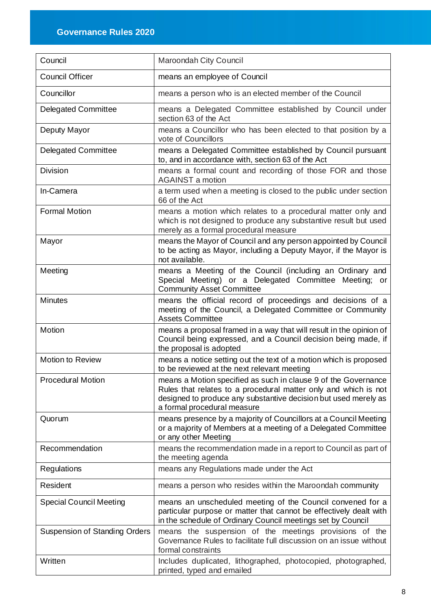| Council                              | Maroondah City Council                                                                                                                                                                                                              |
|--------------------------------------|-------------------------------------------------------------------------------------------------------------------------------------------------------------------------------------------------------------------------------------|
| <b>Council Officer</b>               | means an employee of Council                                                                                                                                                                                                        |
| Councillor                           | means a person who is an elected member of the Council                                                                                                                                                                              |
| <b>Delegated Committee</b>           | means a Delegated Committee established by Council under<br>section 63 of the Act                                                                                                                                                   |
| Deputy Mayor                         | means a Councillor who has been elected to that position by a<br>vote of Councillors                                                                                                                                                |
| <b>Delegated Committee</b>           | means a Delegated Committee established by Council pursuant<br>to, and in accordance with, section 63 of the Act                                                                                                                    |
| <b>Division</b>                      | means a formal count and recording of those FOR and those<br><b>AGAINST a motion</b>                                                                                                                                                |
| In-Camera                            | a term used when a meeting is closed to the public under section<br>66 of the Act                                                                                                                                                   |
| <b>Formal Motion</b>                 | means a motion which relates to a procedural matter only and<br>which is not designed to produce any substantive result but used<br>merely as a formal procedural measure                                                           |
| Mayor                                | means the Mayor of Council and any person appointed by Council<br>to be acting as Mayor, including a Deputy Mayor, if the Mayor is<br>not available.                                                                                |
| Meeting                              | means a Meeting of the Council (including an Ordinary and<br>Special Meeting) or a Delegated Committee Meeting; or<br><b>Community Asset Committee</b>                                                                              |
| <b>Minutes</b>                       | means the official record of proceedings and decisions of a<br>meeting of the Council, a Delegated Committee or Community<br><b>Assets Committee</b>                                                                                |
| Motion                               | means a proposal framed in a way that will result in the opinion of<br>Council being expressed, and a Council decision being made, if<br>the proposal is adopted                                                                    |
| <b>Motion to Review</b>              | means a notice setting out the text of a motion which is proposed<br>to be reviewed at the next relevant meeting                                                                                                                    |
| <b>Procedural Motion</b>             | means a Motion specified as such in clause 9 of the Governance<br>Rules that relates to a procedural matter only and which is not<br>designed to produce any substantive decision but used merely as<br>a formal procedural measure |
| Quorum                               | means presence by a majority of Councillors at a Council Meeting<br>or a majority of Members at a meeting of a Delegated Committee<br>or any other Meeting                                                                          |
| Recommendation                       | means the recommendation made in a report to Council as part of<br>the meeting agenda                                                                                                                                               |
| Regulations                          | means any Regulations made under the Act                                                                                                                                                                                            |
| Resident                             | means a person who resides within the Maroondah community                                                                                                                                                                           |
| <b>Special Council Meeting</b>       | means an unscheduled meeting of the Council convened for a<br>particular purpose or matter that cannot be effectively dealt with<br>in the schedule of Ordinary Council meetings set by Council                                     |
| <b>Suspension of Standing Orders</b> | means the suspension of the meetings provisions of the<br>Governance Rules to facilitate full discussion on an issue without<br>formal constraints                                                                                  |
| Written                              | Includes duplicated, lithographed, photocopied, photographed,<br>printed, typed and emailed                                                                                                                                         |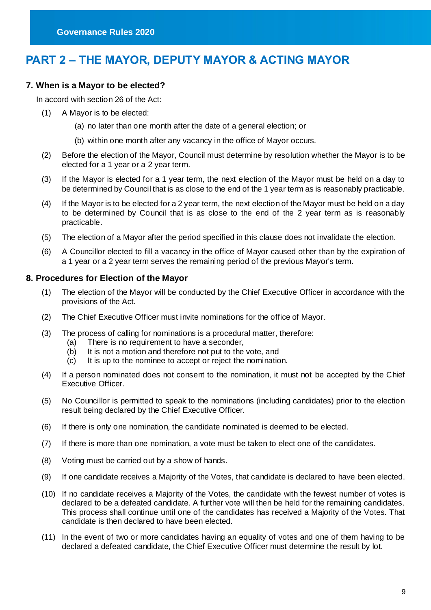# <span id="page-9-0"></span>**PART 2 – THE MAYOR, DEPUTY MAYOR & ACTING MAYOR**

#### <span id="page-9-1"></span>**7. When is a Mayor to be elected?**

In accord with section 26 of the Act:

- (1) A Mayor is to be elected:
	- (a) no later than one month after the date of a general election; or
	- (b) within one month after any vacancy in the office of Mayor occurs.
- (2) Before the election of the Mayor, Council must determine by resolution whether the Mayor is to be elected for a 1 year or a 2 year term.
- (3) If the Mayor is elected for a 1 year term, the next election of the Mayor must be held on a day to be determined by Council that is as close to the end of the 1 year term as is reasonably practicable.
- (4) If the Mayor is to be elected for a 2 year term, the next election of the Mayor must be held on a day to be determined by Council that is as close to the end of the 2 year term as is reasonably practicable.
- (5) The election of a Mayor after the period specified in this clause does not invalidate the election.
- (6) A Councillor elected to fill a vacancy in the office of Mayor caused other than by the expiration of a 1 year or a 2 year term serves the remaining period of the previous Mayor's term.

#### <span id="page-9-2"></span>**8. Procedures for Election of the Mayor**

- (1) The election of the Mayor will be conducted by the Chief Executive Officer in accordance with the provisions of the Act.
- (2) The Chief Executive Officer must invite nominations for the office of Mayor.
- (3) The process of calling for nominations is a procedural matter, therefore:
	- (a) There is no requirement to have a seconder,
	- (b) It is not a motion and therefore not put to the vote, and
	- (c) It is up to the nominee to accept or reject the nomination.
- (4) If a person nominated does not consent to the nomination, it must not be accepted by the Chief Executive Officer.
- (5) No Councillor is permitted to speak to the nominations (including candidates) prior to the election result being declared by the Chief Executive Officer.
- (6) If there is only one nomination, the candidate nominated is deemed to be elected.
- (7) If there is more than one nomination, a vote must be taken to elect one of the candidates.
- (8) Voting must be carried out by a show of hands.
- (9) If one candidate receives a Majority of the Votes, that candidate is declared to have been elected.
- (10) If no candidate receives a Majority of the Votes, the candidate with the fewest number of votes is declared to be a defeated candidate. A further vote will then be held for the remaining candidates. This process shall continue until one of the candidates has received a Majority of the Votes. That candidate is then declared to have been elected.
- (11) In the event of two or more candidates having an equality of votes and one of them having to be declared a defeated candidate, the Chief Executive Officer must determine the result by lot.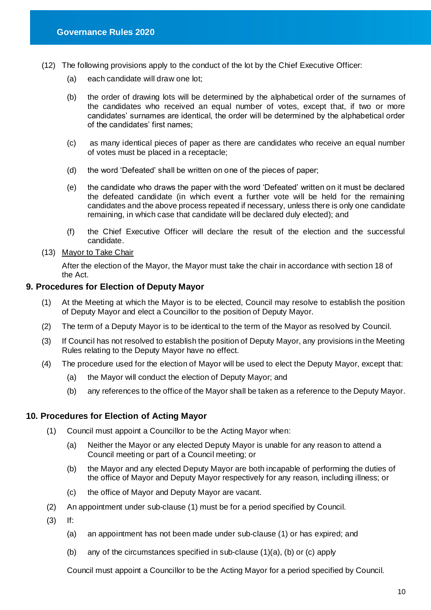- (12) The following provisions apply to the conduct of the lot by the Chief Executive Officer:
	- (a) each candidate will draw one lot;
	- (b) the order of drawing lots will be determined by the alphabetical order of the surnames of the candidates who received an equal number of votes, except that, if two or more candidates' surnames are identical, the order will be determined by the alphabetical order of the candidates' first names;
	- (c) as many identical pieces of paper as there are candidates who receive an equal number of votes must be placed in a receptacle;
	- (d) the word 'Defeated' shall be written on one of the pieces of paper;
	- (e) the candidate who draws the paper with the word 'Defeated' written on it must be declared the defeated candidate (in which event a further vote will be held for the remaining candidates and the above process repeated if necessary, unless there is only one candidate remaining, in which case that candidate will be declared duly elected); and
	- (f) the Chief Executive Officer will declare the result of the election and the successful candidate.

### (13) Mayor to Take Chair

After the election of the Mayor, the Mayor must take the chair in accordance with section 18 of the Act.

#### <span id="page-10-0"></span>**9. Procedures for Election of Deputy Mayor**

- (1) At the Meeting at which the Mayor is to be elected, Council may resolve to establish the position of Deputy Mayor and elect a Councillor to the position of Deputy Mayor.
- (2) The term of a Deputy Mayor is to be identical to the term of the Mayor as resolved by Council.
- (3) If Council has not resolved to establish the position of Deputy Mayor, any provisions in the Meeting Rules relating to the Deputy Mayor have no effect.
- (4) The procedure used for the election of Mayor will be used to elect the Deputy Mayor, except that:
	- (a) the Mayor will conduct the election of Deputy Mayor; and
	- (b) any references to the office of the Mayor shall be taken as a reference to the Deputy Mayor.

#### <span id="page-10-1"></span>**10. Procedures for Election of Acting Mayor**

- (1) Council must appoint a Councillor to be the Acting Mayor when:
	- (a) Neither the Mayor or any elected Deputy Mayor is unable for any reason to attend a Council meeting or part of a Council meeting; or
	- (b) the Mayor and any elected Deputy Mayor are both incapable of performing the duties of the office of Mayor and Deputy Mayor respectively for any reason, including illness; or
	- (c) the office of Mayor and Deputy Mayor are vacant.
- (2) An appointment under sub-clause (1) must be for a period specified by Council.
- (3) If:
	- (a) an appointment has not been made under sub-clause (1) or has expired; and
	- (b) any of the circumstances specified in sub-clause (1)(a), (b) or (c) apply

Council must appoint a Councillor to be the Acting Mayor for a period specified by Council.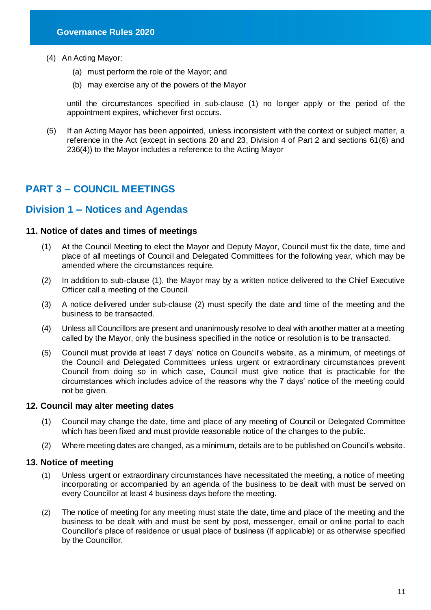- (4) An Acting Mayor:
	- (a) must perform the role of the Mayor; and
	- (b) may exercise any of the powers of the Mayor

until the circumstances specified in sub-clause (1) no longer apply or the period of the appointment expires, whichever first occurs.

(5) If an Acting Mayor has been appointed, unless inconsistent with the context or subject matter, a reference in the Act (except in sections 20 and 23, Division 4 of Part 2 and sections 61(6) and 236(4)) to the Mayor includes a reference to the Acting Mayor

## <span id="page-11-0"></span>**PART 3 – COUNCIL MEETINGS**

## <span id="page-11-1"></span>**Division 1 – Notices and Agendas**

#### <span id="page-11-2"></span>**11. Notice of dates and times of meetings**

- (1) At the Council Meeting to elect the Mayor and Deputy Mayor, Council must fix the date, time and place of all meetings of Council and Delegated Committees for the following year, which may be amended where the circumstances require.
- (2) In addition to sub-clause (1), the Mayor may by a written notice delivered to the Chief Executive Officer call a meeting of the Council.
- (3) A notice delivered under sub-clause (2) must specify the date and time of the meeting and the business to be transacted.
- (4) Unless all Councillors are present and unanimously resolve to deal with another matter at a meeting called by the Mayor, only the business specified in the notice or resolution is to be transacted.
- (5) Council must provide at least 7 days' notice on Council's website, as a minimum, of meetings of the Council and Delegated Committees unless urgent or extraordinary circumstances prevent Council from doing so in which case, Council must give notice that is practicable for the circumstances which includes advice of the reasons why the 7 days' notice of the meeting could not be given.

#### <span id="page-11-3"></span>**12. Council may alter meeting dates**

- (1) Council may change the date, time and place of any meeting of Council or Delegated Committee which has been fixed and must provide reasonable notice of the changes to the public.
- (2) Where meeting dates are changed, as a minimum, details are to be published on Council's website.

#### <span id="page-11-4"></span>**13. Notice of meeting**

- (1) Unless urgent or extraordinary circumstances have necessitated the meeting, a notice of meeting incorporating or accompanied by an agenda of the business to be dealt with must be served on every Councillor at least 4 business days before the meeting.
- (2) The notice of meeting for any meeting must state the date, time and place of the meeting and the business to be dealt with and must be sent by post, messenger, email or online portal to each Councillor's place of residence or usual place of business (if applicable) or as otherwise specified by the Councillor.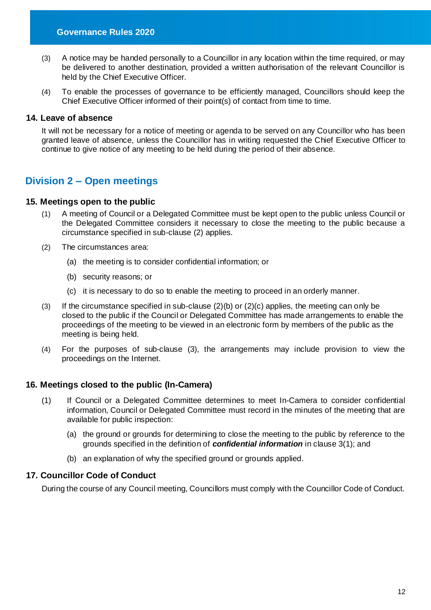- (3) A notice may be handed personally to a Councillor in any location within the time required, or may be delivered to another destination, provided a written authorisation of the relevant Councillor is held by the Chief Executive Officer.
- (4) To enable the processes of governance to be efficiently managed, Councillors should keep the Chief Executive Officer informed of their point(s) of contact from time to time.

#### <span id="page-12-0"></span>**14. Leave of absence**

It will not be necessary for a notice of meeting or agenda to be served on any Councillor who has been granted leave of absence, unless the Councillor has in writing requested the Chief Executive Officer to continue to give notice of any meeting to be held during the period of their absence.

## <span id="page-12-1"></span>**Division 2 – Open meetings**

#### <span id="page-12-2"></span>**15. Meetings open to the public**

- (1) A meeting of Council or a Delegated Committee must be kept open to the public unless Council or the Delegated Committee considers it necessary to close the meeting to the public because a circumstance specified in sub-clause (2) applies.
- (2) The circumstances area:
	- (a) the meeting is to consider confidential information; or
	- (b) security reasons; or
	- (c) it is necessary to do so to enable the meeting to proceed in an orderly manner.
- (3) If the circumstance specified in sub-clause (2)(b) or (2)(c) applies, the meeting can only be closed to the public if the Council or Delegated Committee has made arrangements to enable the proceedings of the meeting to be viewed in an electronic form by members of the public as the meeting is being held.
- (4) For the purposes of sub-clause (3), the arrangements may include provision to view the proceedings on the Internet.

#### <span id="page-12-3"></span>**16. Meetings closed to the public (In-Camera)**

- (1) If Council or a Delegated Committee determines to meet In-Camera to consider confidential information, Council or Delegated Committee must record in the minutes of the meeting that are available for public inspection:
	- (a) the ground or grounds for determining to close the meeting to the public by reference to the grounds specified in the definition of *confidential information* in clause 3(1); and
	- (b) an explanation of why the specified ground or grounds applied.

#### <span id="page-12-4"></span>**17. Councillor Code of Conduct**

During the course of any Council meeting, Councillors must comply with the Councillor Code of Conduct.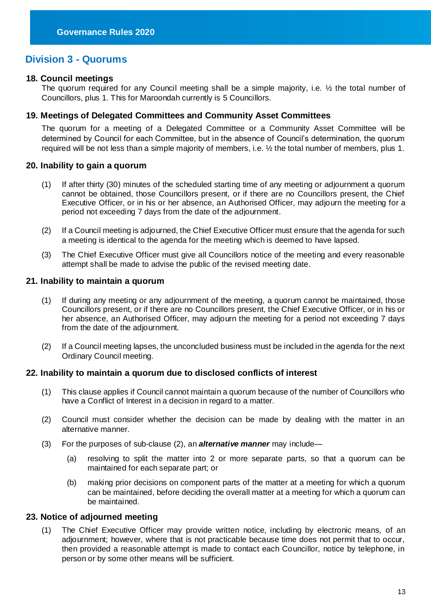## <span id="page-13-0"></span>**Division 3 - Quorums**

#### <span id="page-13-1"></span>**18. Council meetings**

The quorum required for any Council meeting shall be a simple majority, i.e. ½ the total number of Councillors, plus 1. This for Maroondah currently is 5 Councillors.

#### <span id="page-13-2"></span>**19. Meetings of Delegated Committees and Community Asset Committees**

The quorum for a meeting of a Delegated Committee or a Community Asset Committee will be determined by Council for each Committee, but in the absence of Council's determination, the quorum required will be not less than a simple majority of members, i.e.  $\frac{1}{2}$  the total number of members, plus 1.

#### <span id="page-13-3"></span>**20. Inability to gain a quorum**

- (1) If after thirty (30) minutes of the scheduled starting time of any meeting or adjournment a quorum cannot be obtained, those Councillors present, or if there are no Councillors present, the Chief Executive Officer, or in his or her absence, an Authorised Officer, may adjourn the meeting for a period not exceeding 7 days from the date of the adjournment.
- (2) If a Council meeting is adjourned, the Chief Executive Officer must ensure that the agenda for such a meeting is identical to the agenda for the meeting which is deemed to have lapsed.
- (3) The Chief Executive Officer must give all Councillors notice of the meeting and every reasonable attempt shall be made to advise the public of the revised meeting date.

#### <span id="page-13-4"></span>**21. Inability to maintain a quorum**

- (1) If during any meeting or any adjournment of the meeting, a quorum cannot be maintained, those Councillors present, or if there are no Councillors present, the Chief Executive Officer, or in his or her absence, an Authorised Officer, may adjourn the meeting for a period not exceeding 7 days from the date of the adjournment.
- (2) If a Council meeting lapses, the unconcluded business must be included in the agenda for the next Ordinary Council meeting.

#### <span id="page-13-5"></span>**22. Inability to maintain a quorum due to disclosed conflicts of interest**

- (1) This clause applies if Council cannot maintain a quorum because of the number of Councillors who have a Conflict of Interest in a decision in regard to a matter.
- (2) Council must consider whether the decision can be made by dealing with the matter in an alternative manner.
- (3) For the purposes of sub-clause (2), an *alternative manner* may include—
	- (a) resolving to split the matter into 2 or more separate parts, so that a quorum can be maintained for each separate part; or
	- (b) making prior decisions on component parts of the matter at a meeting for which a quorum can be maintained, before deciding the overall matter at a meeting for which a quorum can be maintained.

#### <span id="page-13-6"></span>**23. Notice of adjourned meeting**

(1) The Chief Executive Officer may provide written notice, including by electronic means, of an adjournment; however, where that is not practicable because time does not permit that to occur, then provided a reasonable attempt is made to contact each Councillor, notice by telephone, in person or by some other means will be sufficient.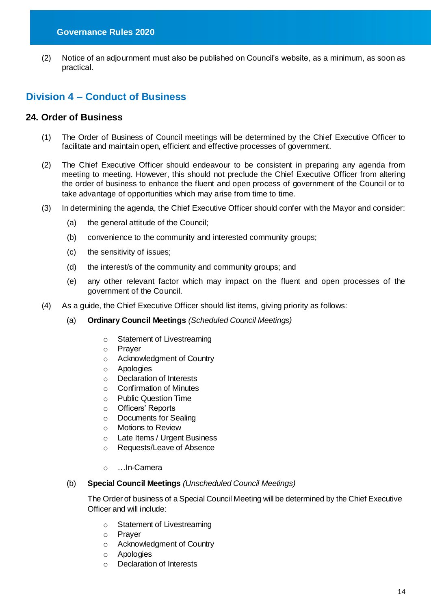(2) Notice of an adjournment must also be published on Council's website, as a minimum, as soon as practical.

## <span id="page-14-0"></span>**Division 4 – Conduct of Business**

#### <span id="page-14-1"></span>**24. Order of Business**

- (1) The Order of Business of Council meetings will be determined by the Chief Executive Officer to facilitate and maintain open, efficient and effective processes of government.
- (2) The Chief Executive Officer should endeavour to be consistent in preparing any agenda from meeting to meeting. However, this should not preclude the Chief Executive Officer from altering the order of business to enhance the fluent and open process of government of the Council or to take advantage of opportunities which may arise from time to time.
- (3) In determining the agenda, the Chief Executive Officer should confer with the Mayor and consider:
	- (a) the general attitude of the Council;
	- (b) convenience to the community and interested community groups;
	- (c) the sensitivity of issues;
	- (d) the interest/s of the community and community groups; and
	- (e) any other relevant factor which may impact on the fluent and open processes of the government of the Council.
- (4) As a guide, the Chief Executive Officer should list items, giving priority as follows:
	- (a) **Ordinary Council Meetings** *(Scheduled Council Meetings)*
		- o Statement of Livestreaming
		- o Prayer
		- o Acknowledgment of Country
		- o Apologies
		- o Declaration of Interests
		- o Confirmation of Minutes
		- o Public Question Time
		- o Officers' Reports
		- o Documents for Sealing
		- o Motions to Review
		- o Late Items / Urgent Business
		- o Requests/Leave of Absence
		- o …In-Camera
	- (b) **Special Council Meetings** *(Unscheduled Council Meetings)*

The Order of business of a Special Council Meeting will be determined by the Chief Executive Officer and will include:

- o Statement of Livestreaming
- o Prayer
- o Acknowledgment of Country
- o Apologies
- o Declaration of Interests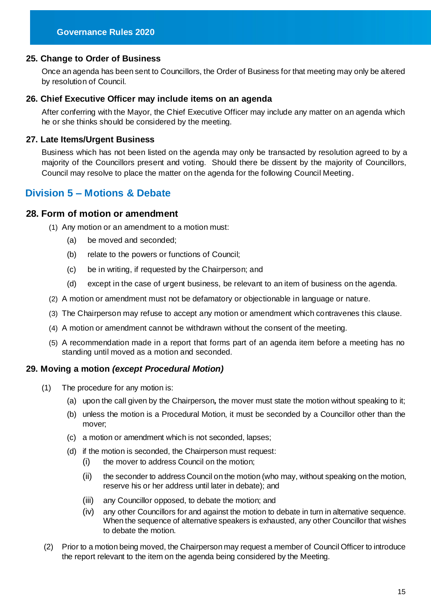#### <span id="page-15-0"></span>**25. Change to Order of Business**

Once an agenda has been sent to Councillors, the Order of Business for that meeting may only be altered by resolution of Council.

#### <span id="page-15-1"></span>**26. Chief Executive Officer may include items on an agenda**

After conferring with the Mayor, the Chief Executive Officer may include any matter on an agenda which he or she thinks should be considered by the meeting.

#### <span id="page-15-2"></span>**27. Late Items/Urgent Business**

Business which has not been listed on the agenda may only be transacted by resolution agreed to by a majority of the Councillors present and voting. Should there be dissent by the majority of Councillors, Council may resolve to place the matter on the agenda for the following Council Meeting.

## <span id="page-15-3"></span>**Division 5 – Motions & Debate**

#### <span id="page-15-4"></span>**28. Form of motion or amendment**

- (1) Any motion or an amendment to a motion must:
	- (a) be moved and seconded;
	- (b) relate to the powers or functions of Council;
	- (c) be in writing, if requested by the Chairperson; and
	- (d) except in the case of urgent business, be relevant to an item of business on the agenda.
- (2) A motion or amendment must not be defamatory or objectionable in language or nature.
- (3) The Chairperson may refuse to accept any motion or amendment which contravenes this clause.
- (4) A motion or amendment cannot be withdrawn without the consent of the meeting.
- (5) A recommendation made in a report that forms part of an agenda item before a meeting has no standing until moved as a motion and seconded.

#### <span id="page-15-5"></span>**29. Moving a motion** *(except Procedural Motion)*

- (1) The procedure for any motion is:
	- (a) upon the call given by the Chairperson*,* the mover must state the motion without speaking to it;
	- (b) unless the motion is a Procedural Motion, it must be seconded by a Councillor other than the mover;
	- (c) a motion or amendment which is not seconded, lapses;
	- (d) if the motion is seconded, the Chairperson must request:
		- (i) the mover to address Council on the motion;
		- (ii) the seconder to address Council on the motion (who may, without speaking on the motion, reserve his or her address until later in debate); and
		- (iii) any Councillor opposed, to debate the motion; and
		- (iv) any other Councillors for and against the motion to debate in turn in alternative sequence. When the sequence of alternative speakers is exhausted, any other Councillor that wishes to debate the motion.
- (2) Prior to a motion being moved, the Chairperson may request a member of Council Officer to introduce the report relevant to the item on the agenda being considered by the Meeting.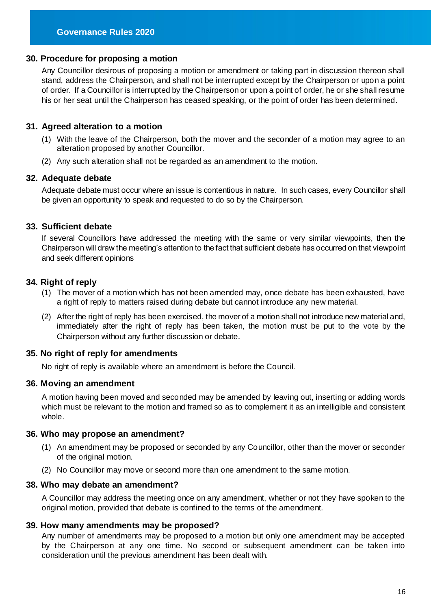#### <span id="page-16-0"></span>**30. Procedure for proposing a motion**

Any Councillor desirous of proposing a motion or amendment or taking part in discussion thereon shall stand, address the Chairperson, and shall not be interrupted except by the Chairperson or upon a point of order. If a Councillor is interrupted by the Chairperson or upon a point of order, he or she shall resume his or her seat until the Chairperson has ceased speaking, or the point of order has been determined.

#### <span id="page-16-1"></span>**31. Agreed alteration to a motion**

- (1) With the leave of the Chairperson, both the mover and the seconder of a motion may agree to an alteration proposed by another Councillor.
- (2) Any such alteration shall not be regarded as an amendment to the motion.

#### <span id="page-16-2"></span>**32. Adequate debate**

Adequate debate must occur where an issue is contentious in nature. In such cases, every Councillor shall be given an opportunity to speak and requested to do so by the Chairperson.

#### <span id="page-16-3"></span>**33. Sufficient debate**

If several Councillors have addressed the meeting with the same or very similar viewpoints, then the Chairperson will draw the meeting's attention to the fact that sufficient debate has occurred on that viewpoint and seek different opinions

#### <span id="page-16-4"></span>**34. Right of reply**

- (1) The mover of a motion which has not been amended may, once debate has been exhausted, have a right of reply to matters raised during debate but cannot introduce any new material.
- (2) After the right of reply has been exercised, the mover of a motion shall not introduce new material and, immediately after the right of reply has been taken, the motion must be put to the vote by the Chairperson without any further discussion or debate.

#### <span id="page-16-5"></span>**35. No right of reply for amendments**

No right of reply is available where an amendment is before the Council.

#### <span id="page-16-6"></span>**36. Moving an amendment**

A motion having been moved and seconded may be amended by leaving out, inserting or adding words which must be relevant to the motion and framed so as to complement it as an intelligible and consistent whole.

#### <span id="page-16-7"></span>**36. Who may propose an amendment?**

- (1) An amendment may be proposed or seconded by any Councillor, other than the mover or seconder of the original motion.
- (2) No Councillor may move or second more than one amendment to the same motion.

#### <span id="page-16-8"></span>**38. Who may debate an amendment?**

A Councillor may address the meeting once on any amendment, whether or not they have spoken to the original motion, provided that debate is confined to the terms of the amendment.

#### <span id="page-16-9"></span>**39. How many amendments may be proposed?**

Any number of amendments may be proposed to a motion but only one amendment may be accepted by the Chairperson at any one time. No second or subsequent amendment can be taken into consideration until the previous amendment has been dealt with.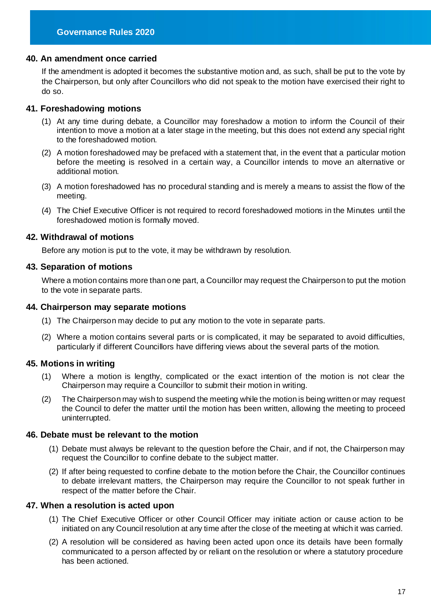#### <span id="page-17-0"></span>**40. An amendment once carried**

If the amendment is adopted it becomes the substantive motion and, as such, shall be put to the vote by the Chairperson, but only after Councillors who did not speak to the motion have exercised their right to do so.

#### <span id="page-17-1"></span>**41. Foreshadowing motions**

- (1) At any time during debate, a Councillor may foreshadow a motion to inform the Council of their intention to move a motion at a later stage in the meeting, but this does not extend any special right to the foreshadowed motion.
- (2) A motion foreshadowed may be prefaced with a statement that, in the event that a particular motion before the meeting is resolved in a certain way, a Councillor intends to move an alternative or additional motion.
- (3) A motion foreshadowed has no procedural standing and is merely a means to assist the flow of the meeting.
- (4) The Chief Executive Officer is not required to record foreshadowed motions in the Minutes until the foreshadowed motion is formally moved.

#### <span id="page-17-2"></span>**42. Withdrawal of motions**

Before any motion is put to the vote, it may be withdrawn by resolution.

#### <span id="page-17-3"></span>**43. Separation of motions**

Where a motion contains more than one part, a Councillor may request the Chairperson to put the motion to the vote in separate parts.

#### <span id="page-17-4"></span>**44. Chairperson may separate motions**

- (1) The Chairperson may decide to put any motion to the vote in separate parts.
- (2) Where a motion contains several parts or is complicated, it may be separated to avoid difficulties, particularly if different Councillors have differing views about the several parts of the motion.

#### <span id="page-17-5"></span>**45. Motions in writing**

- (1) Where a motion is lengthy, complicated or the exact intention of the motion is not clear the Chairperson may require a Councillor to submit their motion in writing.
- (2) The Chairperson may wish to suspend the meeting while the motion is being written or may request the Council to defer the matter until the motion has been written, allowing the meeting to proceed uninterrupted.

#### <span id="page-17-6"></span>**46. Debate must be relevant to the motion**

- (1) Debate must always be relevant to the question before the Chair, and if not, the Chairperson may request the Councillor to confine debate to the subject matter.
- (2) If after being requested to confine debate to the motion before the Chair, the Councillor continues to debate irrelevant matters, the Chairperson may require the Councillor to not speak further in respect of the matter before the Chair.

#### <span id="page-17-7"></span>**47. When a resolution is acted upon**

- (1) The Chief Executive Officer or other Council Officer may initiate action or cause action to be initiated on any Council resolution at any time after the close of the meeting at which it was carried.
- (2) A resolution will be considered as having been acted upon once its details have been formally communicated to a person affected by or reliant on the resolution or where a statutory procedure has been actioned.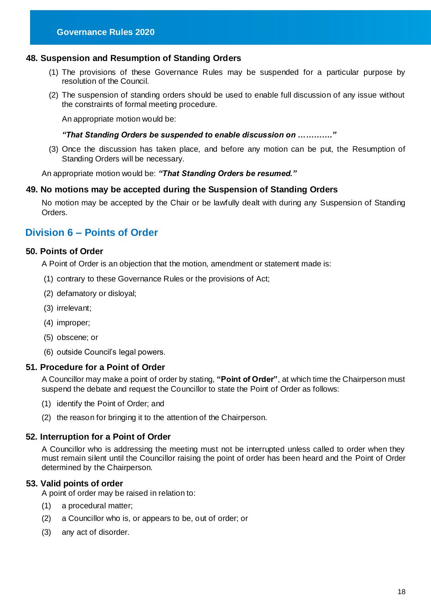#### <span id="page-18-0"></span>**48. Suspension and Resumption of Standing Orders**

- (1) The provisions of these Governance Rules may be suspended for a particular purpose by resolution of the Council.
- (2) The suspension of standing orders should be used to enable full discussion of any issue without the constraints of formal meeting procedure.

An appropriate motion would be:

#### *"That Standing Orders be suspended to enable discussion on …………."*

(3) Once the discussion has taken place, and before any motion can be put, the Resumption of Standing Orders will be necessary.

An appropriate motion would be: *"That Standing Orders be resumed."* 

#### <span id="page-18-1"></span>**49. No motions may be accepted during the Suspension of Standing Orders**

No motion may be accepted by the Chair or be lawfully dealt with during any Suspension of Standing Orders.

## <span id="page-18-2"></span>**Division 6 – Points of Order**

#### <span id="page-18-3"></span>**50. Points of Order**

A Point of Order is an objection that the motion, amendment or statement made is:

- (1) contrary to these Governance Rules or the provisions of Act;
- (2) defamatory or disloyal;
- (3) irrelevant;
- (4) improper;
- (5) obscene; or
- (6) outside Council's legal powers.

#### <span id="page-18-4"></span>**51. Procedure for a Point of Order**

A Councillor may make a point of order by stating, **"Point of Order"**, at which time the Chairperson must suspend the debate and request the Councillor to state the Point of Order as follows:

- (1) identify the Point of Order; and
- (2) the reason for bringing it to the attention of the Chairperson.

#### <span id="page-18-5"></span>**52. Interruption for a Point of Order**

A Councillor who is addressing the meeting must not be interrupted unless called to order when they must remain silent until the Councillor raising the point of order has been heard and the Point of Order determined by the Chairperson.

#### <span id="page-18-6"></span>**53. Valid points of order**

A point of order may be raised in relation to:

- (1) a procedural matter;
- (2) a Councillor who is, or appears to be, out of order; or
- (3) any act of disorder.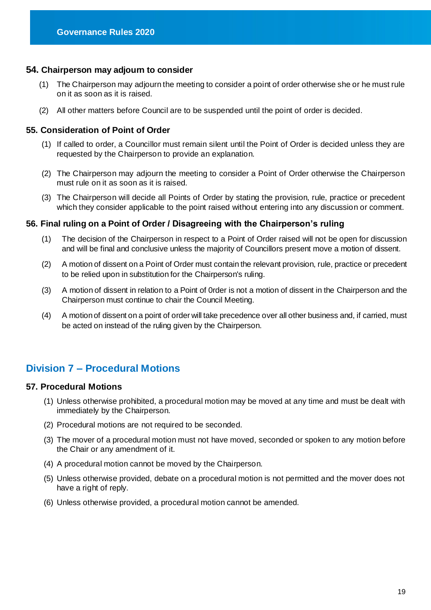#### <span id="page-19-0"></span>**54. Chairperson may adjourn to consider**

- (1) The Chairperson may adjourn the meeting to consider a point of order otherwise she or he must rule on it as soon as it is raised.
- (2) All other matters before Council are to be suspended until the point of order is decided.

#### <span id="page-19-1"></span>**55. Consideration of Point of Order**

- (1) If called to order, a Councillor must remain silent until the Point of Order is decided unless they are requested by the Chairperson to provide an explanation.
- (2) The Chairperson may adjourn the meeting to consider a Point of Order otherwise the Chairperson must rule on it as soon as it is raised.
- (3) The Chairperson will decide all Points of Order by stating the provision, rule, practice or precedent which they consider applicable to the point raised without entering into any discussion or comment.

#### <span id="page-19-2"></span>**56. Final ruling on a Point of Order / Disagreeing with the Chairperson's ruling**

- (1) The decision of the Chairperson in respect to a Point of Order raised will not be open for discussion and will be final and conclusive unless the majority of Councillors present move a motion of dissent.
- (2) A motion of dissent on a Point of Order must contain the relevant provision, rule, practice or precedent to be relied upon in substitution for the Chairperson's ruling.
- (3) A motion of dissent in relation to a Point of 0rder is not a motion of dissent in the Chairperson and the Chairperson must continue to chair the Council Meeting.
- (4) A motion of dissent on a point of order will take precedence over all other business and, if carried, must be acted on instead of the ruling given by the Chairperson.

## <span id="page-19-3"></span>**Division 7 – Procedural Motions**

#### <span id="page-19-4"></span>**57. Procedural Motions**

- (1) Unless otherwise prohibited, a procedural motion may be moved at any time and must be dealt with immediately by the Chairperson.
- (2) Procedural motions are not required to be seconded.
- (3) The mover of a procedural motion must not have moved, seconded or spoken to any motion before the Chair or any amendment of it.
- (4) A procedural motion cannot be moved by the Chairperson.
- (5) Unless otherwise provided, debate on a procedural motion is not permitted and the mover does not have a right of reply.
- (6) Unless otherwise provided, a procedural motion cannot be amended.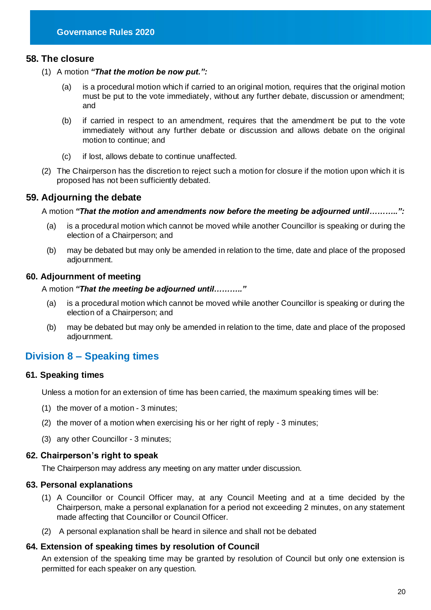#### <span id="page-20-0"></span>**58. The closure**

- (1) A motion *"That the motion be now put.":*
	- (a) is a procedural motion which if carried to an original motion, requires that the original motion must be put to the vote immediately, without any further debate, discussion or amendment; and
	- (b) if carried in respect to an amendment, requires that the amendment be put to the vote immediately without any further debate or discussion and allows debate on the original motion to continue; and
	- (c) if lost, allows debate to continue unaffected.
- (2) The Chairperson has the discretion to reject such a motion for closure if the motion upon which it is proposed has not been sufficiently debated.

#### <span id="page-20-1"></span>**59. Adjourning the debate**

A motion *"That the motion and amendments now before the meeting be adjourned until………..":*

- (a) is a procedural motion which cannot be moved while another Councillor is speaking or during the election of a Chairperson; and
- (b) may be debated but may only be amended in relation to the time, date and place of the proposed adjournment.

#### <span id="page-20-2"></span>**60. Adjournment of meeting**

A motion *"That the meeting be adjourned until……….."*

- (a) is a procedural motion which cannot be moved while another Councillor is speaking or during the election of a Chairperson; and
- (b) may be debated but may only be amended in relation to the time, date and place of the proposed adjournment.

## <span id="page-20-3"></span>**Division 8 – Speaking times**

#### <span id="page-20-4"></span>**61. Speaking times**

Unless a motion for an extension of time has been carried, the maximum speaking times will be:

- (1) the mover of a motion 3 minutes;
- (2) the mover of a motion when exercising his or her right of reply 3 minutes;
- (3) any other Councillor 3 minutes;

#### <span id="page-20-5"></span>**62. Chairperson's right to speak**

The Chairperson may address any meeting on any matter under discussion.

#### <span id="page-20-6"></span>**63. Personal explanations**

- (1) A Councillor or Council Officer may, at any Council Meeting and at a time decided by the Chairperson, make a personal explanation for a period not exceeding 2 minutes, on any statement made affecting that Councillor or Council Officer.
- (2) A personal explanation shall be heard in silence and shall not be debated

#### <span id="page-20-7"></span>**64. Extension of speaking times by resolution of Council**

An extension of the speaking time may be granted by resolution of Council but only one extension is permitted for each speaker on any question.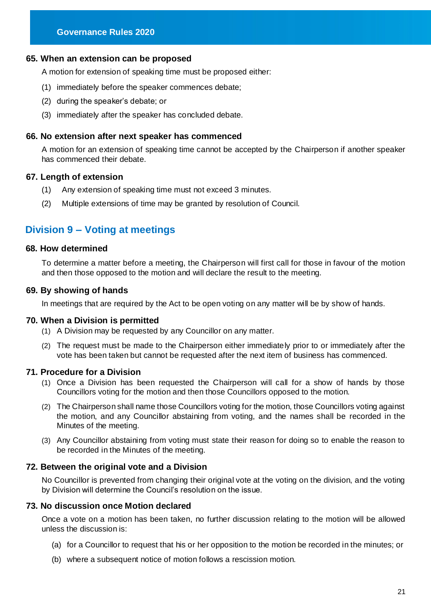#### <span id="page-21-0"></span>**65. When an extension can be proposed**

A motion for extension of speaking time must be proposed either:

- (1) immediately before the speaker commences debate;
- (2) during the speaker's debate; or
- (3) immediately after the speaker has concluded debate.

#### <span id="page-21-1"></span>**66. No extension after next speaker has commenced**

A motion for an extension of speaking time cannot be accepted by the Chairperson if another speaker has commenced their debate.

#### <span id="page-21-2"></span>**67. Length of extension**

- (1) Any extension of speaking time must not exceed 3 minutes.
- (2) Multiple extensions of time may be granted by resolution of Council.

## <span id="page-21-3"></span>**Division 9 – Voting at meetings**

#### <span id="page-21-4"></span>**68. How determined**

To determine a matter before a meeting, the Chairperson will first call for those in favour of the motion and then those opposed to the motion and will declare the result to the meeting.

#### <span id="page-21-5"></span>**69. By showing of hands**

In meetings that are required by the Act to be open voting on any matter will be by show of hands.

#### <span id="page-21-6"></span>**70. When a Division is permitted**

- (1) A Division may be requested by any Councillor on any matter.
- (2) The request must be made to the Chairperson either immediately prior to or immediately after the vote has been taken but cannot be requested after the next item of business has commenced.

#### <span id="page-21-7"></span>**71. Procedure for a Division**

- (1) Once a Division has been requested the Chairperson will call for a show of hands by those Councillors voting for the motion and then those Councillors opposed to the motion.
- (2) The Chairperson shall name those Councillors voting for the motion, those Councillors voting against the motion, and any Councillor abstaining from voting, and the names shall be recorded in the Minutes of the meeting.
- (3) Any Councillor abstaining from voting must state their reason for doing so to enable the reason to be recorded in the Minutes of the meeting.

#### <span id="page-21-8"></span>**72. Between the original vote and a Division**

No Councillor is prevented from changing their original vote at the voting on the division, and the voting by Division will determine the Council's resolution on the issue.

#### <span id="page-21-9"></span>**73. No discussion once Motion declared**

Once a vote on a motion has been taken, no further discussion relating to the motion will be allowed unless the discussion is:

- (a) for a Councillor to request that his or her opposition to the motion be recorded in the minutes; or
- (b) where a subsequent notice of motion follows a rescission motion.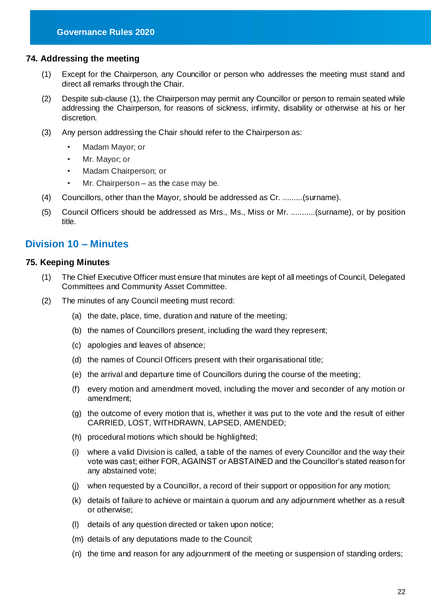#### <span id="page-22-0"></span>**74. Addressing the meeting**

- (1) Except for the Chairperson, any Councillor or person who addresses the meeting must stand and direct all remarks through the Chair.
- (2) Despite sub-clause (1), the Chairperson may permit any Councillor or person to remain seated while addressing the Chairperson, for reasons of sickness, infirmity, disability or otherwise at his or her discretion.
- (3) Any person addressing the Chair should refer to the Chairperson as:
	- Madam Mayor; or
	- Mr. Mayor; or
	- Madam Chairperson; or
	- Mr. Chairperson as the case may be.
- (4) Councillors, other than the Mayor, should be addressed as Cr. .........(surname).
- (5) Council Officers should be addressed as Mrs., Ms., Miss or Mr. ...........(surname), or by position title.

## <span id="page-22-1"></span>**Division 10 – Minutes**

#### <span id="page-22-2"></span>**75. Keeping Minutes**

- (1) The Chief Executive Officer must ensure that minutes are kept of all meetings of Council, Delegated Committees and Community Asset Committee.
- (2) The minutes of any Council meeting must record:
	- (a) the date, place, time, duration and nature of the meeting;
	- (b) the names of Councillors present, including the ward they represent;
	- (c) apologies and leaves of absence;
	- (d) the names of Council Officers present with their organisational title;
	- (e) the arrival and departure time of Councillors during the course of the meeting;
	- (f) every motion and amendment moved, including the mover and seconder of any motion or amendment;
	- (g) the outcome of every motion that is, whether it was put to the vote and the result of either CARRIED, LOST, WITHDRAWN, LAPSED, AMENDED;
	- (h) procedural motions which should be highlighted;
	- (i) where a valid Division is called, a table of the names of every Councillor and the way their vote was cast; either FOR, AGAINST or ABSTAINED and the Councillor's stated reason for any abstained vote;
	- (j) when requested by a Councillor, a record of their support or opposition for any motion;
	- (k) details of failure to achieve or maintain a quorum and any adjournment whether as a result or otherwise;
	- (l) details of any question directed or taken upon notice;
	- (m) details of any deputations made to the Council;
	- (n) the time and reason for any adjournment of the meeting or suspension of standing orders;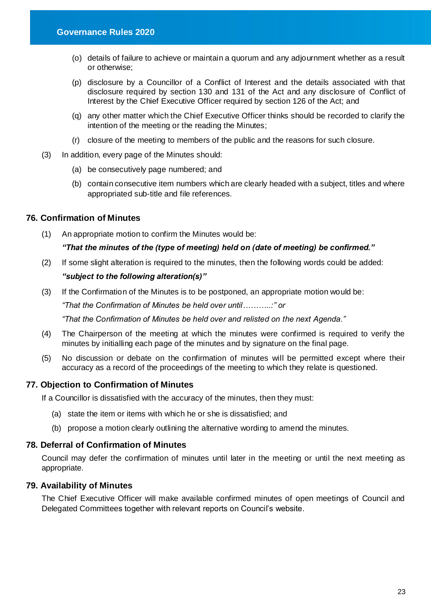- (o) details of failure to achieve or maintain a quorum and any adjournment whether as a result or otherwise;
- (p) disclosure by a Councillor of a Conflict of Interest and the details associated with that disclosure required by section 130 and 131 of the Act and any disclosure of Conflict of Interest by the Chief Executive Officer required by section 126 of the Act; and
- (q) any other matter which the Chief Executive Officer thinks should be recorded to clarify the intention of the meeting or the reading the Minutes;
- (r) closure of the meeting to members of the public and the reasons for such closure.
- (3) In addition, every page of the Minutes should:
	- (a) be consecutively page numbered; and
	- (b) contain consecutive item numbers which are clearly headed with a subject, titles and where appropriated sub-title and file references.

#### <span id="page-23-0"></span>**76. Confirmation of Minutes**

(1) An appropriate motion to confirm the Minutes would be:

#### *"That the minutes of the (type of meeting) held on (date of meeting) be confirmed."*

(2) If some slight alteration is required to the minutes, then the following words could be added:

#### *"subject to the following alteration(s)"*

(3) If the Confirmation of the Minutes is to be postponed, an appropriate motion would be: *"That the Confirmation of Minutes be held over until………..:" or* 

*"That the Confirmation of Minutes be held over and relisted on the next Agenda."* 

- (4) The Chairperson of the meeting at which the minutes were confirmed is required to verify the minutes by initialling each page of the minutes and by signature on the final page.
- (5) No discussion or debate on the confirmation of minutes will be permitted except where their accuracy as a record of the proceedings of the meeting to which they relate is questioned.

#### <span id="page-23-1"></span>**77. Objection to Confirmation of Minutes**

If a Councillor is dissatisfied with the accuracy of the minutes, then they must:

- (a) state the item or items with which he or she is dissatisfied; and
- (b) propose a motion clearly outlining the alternative wording to amend the minutes.

#### <span id="page-23-2"></span>**78. Deferral of Confirmation of Minutes**

Council may defer the confirmation of minutes until later in the meeting or until the next meeting as appropriate.

#### <span id="page-23-3"></span>**79. Availability of Minutes**

The Chief Executive Officer will make available confirmed minutes of open meetings of Council and Delegated Committees together with relevant reports on Council's website.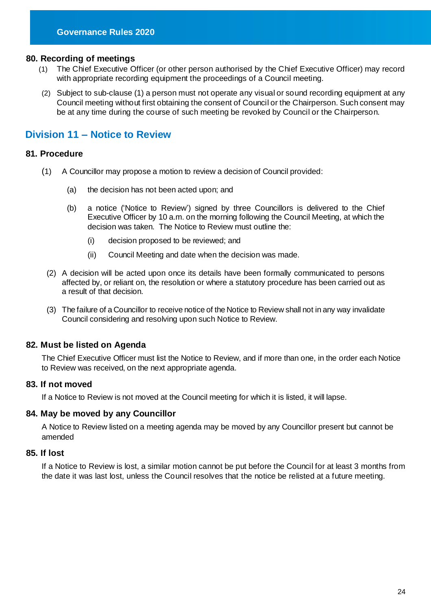#### <span id="page-24-0"></span>**80. Recording of meetings**

- (1) The Chief Executive Officer (or other person authorised by the Chief Executive Officer) may record with appropriate recording equipment the proceedings of a Council meeting.
- (2) Subject to sub-clause (1) a person must not operate any visual or sound recording equipment at any Council meeting without first obtaining the consent of Council or the Chairperson. Such consent may be at any time during the course of such meeting be revoked by Council or the Chairperson.

## <span id="page-24-1"></span>**Division 11 – Notice to Review**

#### <span id="page-24-2"></span>**81. Procedure**

- (1) A Councillor may propose a motion to review a decision of Council provided:
	- (a) the decision has not been acted upon; and
	- (b) a notice ('Notice to Review') signed by three Councillors is delivered to the Chief Executive Officer by 10 a.m. on the morning following the Council Meeting, at which the decision was taken. The Notice to Review must outline the:
		- (i) decision proposed to be reviewed; and
		- (ii) Council Meeting and date when the decision was made.
	- (2) A decision will be acted upon once its details have been formally communicated to persons affected by, or reliant on, the resolution or where a statutory procedure has been carried out as a result of that decision.
	- (3) The failure of a Councillor to receive notice of the Notice to Review shall not in any way invalidate Council considering and resolving upon such Notice to Review.

#### <span id="page-24-3"></span>**82. Must be listed on Agenda**

The Chief Executive Officer must list the Notice to Review, and if more than one, in the order each Notice to Review was received, on the next appropriate agenda.

#### <span id="page-24-4"></span>**83. If not moved**

If a Notice to Review is not moved at the Council meeting for which it is listed, it will lapse.

#### <span id="page-24-5"></span>**84. May be moved by any Councillor**

A Notice to Review listed on a meeting agenda may be moved by any Councillor present but cannot be amended

#### <span id="page-24-6"></span>**85. If lost**

If a Notice to Review is lost, a similar motion cannot be put before the Council for at least 3 months from the date it was last lost, unless the Council resolves that the notice be relisted at a future meeting.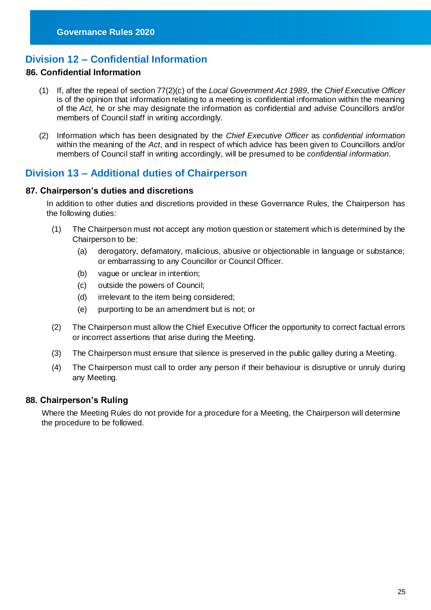## <span id="page-25-0"></span>**Division 12 – Confidential Information**

#### **86. Confidential Information**

- (1) If, after the repeal of section 77(2)(c) of the *Local Government Act 1989*, the *Chief Executive Officer* is of the opinion that information relating to a meeting is confidential information within the meaning of the *Act*, he or she may designate the information as confidential and advise Councillors and/or members of Council staff in writing accordingly.
- (2) Information which has been designated by the *Chief Executive Officer* as *confidential information* within the meaning of the *Act*, and in respect of which advice has been given to Councillors and/or members of Council staff in writing accordingly, will be presumed to be *confidential information.*

## <span id="page-25-1"></span>**Division 13 – Additional duties of Chairperson**

#### <span id="page-25-2"></span>**87. Chairperson's duties and discretions**

In addition to other duties and discretions provided in these Governance Rules, the Chairperson has the following duties:

- (1) The Chairperson must not accept any motion question or statement which is determined by the Chairperson to be:
	- (a) derogatory, defamatory, malicious, abusive or objectionable in language or substance; or embarrassing to any Councillor or Council Officer.
	- (b) vague or unclear in intention;
	- (c) outside the powers of Council;
	- (d) irrelevant to the item being considered;
	- (e) purporting to be an amendment but is not; or
- (2) The Chairperson must allow the Chief Executive Officer the opportunity to correct factual errors or incorrect assertions that arise during the Meeting.
- (3) The Chairperson must ensure that silence is preserved in the public galley during a Meeting.
- (4) The Chairperson must call to order any person if their behaviour is disruptive or unruly during any Meeting.

#### <span id="page-25-3"></span>**88. Chairperson's Ruling**

Where the Meeting Rules do not provide for a procedure for a Meeting, the Chairperson will determine the procedure to be followed.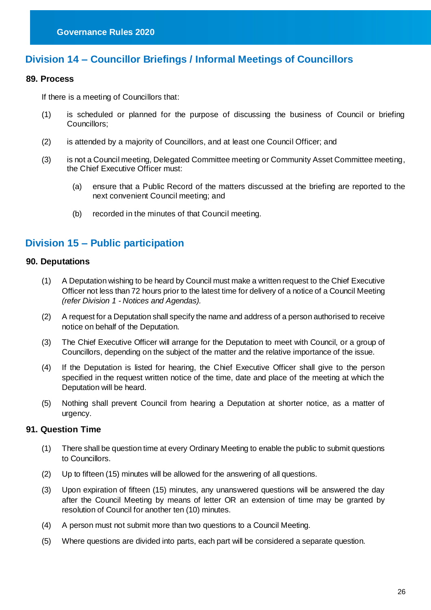## <span id="page-26-0"></span>**Division 14 – Councillor Briefings / Informal Meetings of Councillors**

#### **89. Process**

If there is a meeting of Councillors that:

- (1) is scheduled or planned for the purpose of discussing the business of Council or briefing Councillors;
- (2) is attended by a majority of Councillors, and at least one Council Officer; and
- (3) is not a Council meeting, Delegated Committee meeting or Community Asset Committee meeting, the Chief Executive Officer must:
	- (a) ensure that a Public Record of the matters discussed at the briefing are reported to the next convenient Council meeting; and
	- (b) recorded in the minutes of that Council meeting.

## <span id="page-26-1"></span>**Division 15 – Public participation**

#### <span id="page-26-2"></span>**90. Deputations**

- (1) A Deputation wishing to be heard by Council must make a written request to the Chief Executive Officer not less than 72 hours prior to the latest time for delivery of a notice of a Council Meeting *(refer Division 1 - Notices and Agendas).*
- (2) A request for a Deputation shall specify the name and address of a person authorised to receive notice on behalf of the Deputation.
- (3) The Chief Executive Officer will arrange for the Deputation to meet with Council, or a group of Councillors, depending on the subject of the matter and the relative importance of the issue.
- (4) If the Deputation is listed for hearing, the Chief Executive Officer shall give to the person specified in the request written notice of the time, date and place of the meeting at which the Deputation will be heard.
- (5) Nothing shall prevent Council from hearing a Deputation at shorter notice, as a matter of urgency.

#### <span id="page-26-3"></span>**91. Question Time**

- (1) There shall be question time at every Ordinary Meeting to enable the public to submit questions to Councillors.
- (2) Up to fifteen (15) minutes will be allowed for the answering of all questions.
- (3) Upon expiration of fifteen (15) minutes, any unanswered questions will be answered the day after the Council Meeting by means of letter OR an extension of time may be granted by resolution of Council for another ten (10) minutes.
- (4) A person must not submit more than two questions to a Council Meeting.
- (5) Where questions are divided into parts, each part will be considered a separate question.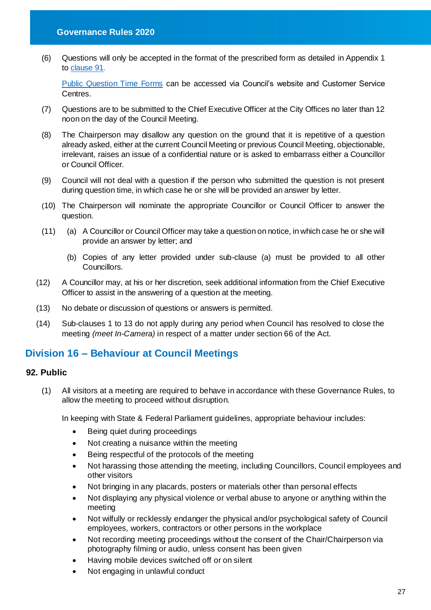(6) Questions will only be accepted in the format of the prescribed form as detailed in Appendix 1 to [clause 91.](#page-37-0)

[Public Question Time Forms](https://www.maroondah.vic.gov.au/Customer-service/Forms-and-permits/Forms-and-Permits/Public-question-form) can be accessed via Council's website and Customer Service Centres.

- (7) Questions are to be submitted to the Chief Executive Officer at the City Offices no later than 12 noon on the day of the Council Meeting.
- (8) The Chairperson may disallow any question on the ground that it is repetitive of a question already asked, either at the current Council Meeting or previous Council Meeting, objectionable, irrelevant, raises an issue of a confidential nature or is asked to embarrass either a Councillor or Council Officer.
- (9) Council will not deal with a question if the person who submitted the question is not present during question time, in which case he or she will be provided an answer by letter.
- (10) The Chairperson will nominate the appropriate Councillor or Council Officer to answer the question.
- (11) (a) A Councillor or Council Officer may take a question on notice, in which case he or she will provide an answer by letter; and
	- (b) Copies of any letter provided under sub-clause (a) must be provided to all other Councillors.
- (12) A Councillor may, at his or her discretion, seek additional information from the Chief Executive Officer to assist in the answering of a question at the meeting.
- (13) No debate or discussion of questions or answers is permitted.
- (14) Sub-clauses 1 to 13 do not apply during any period when Council has resolved to close the meeting *(meet In-Camera)* in respect of a matter under section 66 of the Act.

## <span id="page-27-0"></span>**Division 16 – Behaviour at Council Meetings**

#### <span id="page-27-1"></span>**92. Public**

(1) All visitors at a meeting are required to behave in accordance with these Governance Rules, to allow the meeting to proceed without disruption.

In keeping with State & Federal Parliament guidelines, appropriate behaviour includes:

- Being quiet during proceedings
- Not creating a nuisance within the meeting
- Being respectful of the protocols of the meeting
- Not harassing those attending the meeting, including Councillors, Council employees and other visitors
- Not bringing in any placards, posters or materials other than personal effects
- Not displaying any physical violence or verbal abuse to anyone or anything within the meeting
- Not wilfully or recklessly endanger the physical and/or psychological safety of Council employees, workers, contractors or other persons in the workplace
- Not recording meeting proceedings without the consent of the Chair/Chairperson via photography filming or audio, unless consent has been given
- Having mobile devices switched off or on silent
- Not engaging in unlawful conduct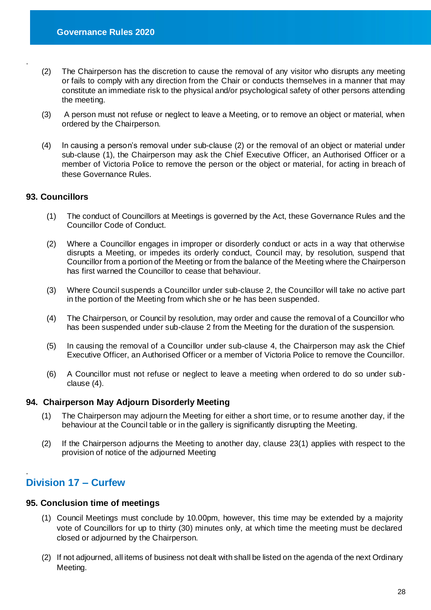- (2) The Chairperson has the discretion to cause the removal of any visitor who disrupts any meeting or fails to comply with any direction from the Chair or conducts themselves in a manner that may constitute an immediate risk to the physical and/or psychological safety of other persons attending the meeting.
- (3) A person must not refuse or neglect to leave a Meeting, or to remove an object or material, when ordered by the Chairperson.
- (4) In causing a person's removal under sub-clause (2) or the removal of an object or material under sub-clause (1), the Chairperson may ask the Chief Executive Officer, an Authorised Officer or a member of Victoria Police to remove the person or the object or material, for acting in breach of these Governance Rules.

#### **93. Councillors**

.

- (1) The conduct of Councillors at Meetings is governed by the Act, these Governance Rules and the Councillor Code of Conduct.
- (2) Where a Councillor engages in improper or disorderly conduct or acts in a way that otherwise disrupts a Meeting, or impedes its orderly conduct, Council may, by resolution, suspend that Councillor from a portion of the Meeting or from the balance of the Meeting where the Chairperson has first warned the Councillor to cease that behaviour.
- (3) Where Council suspends a Councillor under sub-clause 2, the Councillor will take no active part in the portion of the Meeting from which she or he has been suspended.
- (4) The Chairperson, or Council by resolution, may order and cause the removal of a Councillor who has been suspended under sub-clause 2 from the Meeting for the duration of the suspension.
- (5) In causing the removal of a Councillor under sub-clause 4, the Chairperson may ask the Chief Executive Officer, an Authorised Officer or a member of Victoria Police to remove the Councillor.
- (6) A Councillor must not refuse or neglect to leave a meeting when ordered to do so under subclause (4).

#### **94. Chairperson May Adjourn Disorderly Meeting**

- (1) The Chairperson may adjourn the Meeting for either a short time, or to resume another day, if the behaviour at the Council table or in the gallery is significantly disrupting the Meeting.
- (2) If the Chairperson adjourns the Meeting to another day, clause 23(1) applies with respect to the provision of notice of the adjourned Meeting

#### <span id="page-28-0"></span>. **Division 17 – Curfew**

#### <span id="page-28-1"></span>**95. Conclusion time of meetings**

- (1) Council Meetings must conclude by 10.00pm, however, this time may be extended by a majority vote of Councillors for up to thirty (30) minutes only, at which time the meeting must be declared closed or adjourned by the Chairperson.
- (2) If not adjourned, all items of business not dealt with shall be listed on the agenda of the next Ordinary Meeting.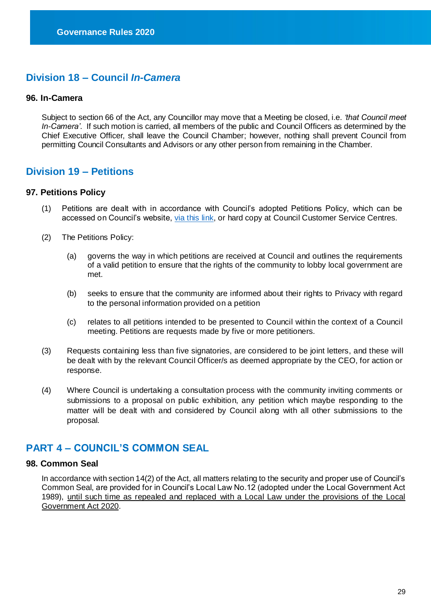## <span id="page-29-0"></span>**Division 18 – Council** *In-Camera*

#### <span id="page-29-1"></span>**96. In-Camera**

Subject to section 66 of the Act, any Councillor may move that a Meeting be closed, i.e. *'that Council meet In-Camera'*. If such motion is carried, all members of the public and Council Officers as determined by the Chief Executive Officer, shall leave the Council Chamber; however, nothing shall prevent Council from permitting Council Consultants and Advisors or any other person from remaining in the Chamber.

## <span id="page-29-2"></span>**Division 19 – Petitions**

#### <span id="page-29-3"></span>**97. Petitions Policy**

- (1) Petitions are dealt with in accordance with Council's adopted Petitions Policy, which can be accessed on Council's website, [via this link,](https://www.maroondah.vic.gov.au/About-Council/Our-organisation/Policies/Petitions-Policy) or hard copy at Council Customer Service Centres.
- (2) The Petitions Policy:
	- (a) governs the way in which petitions are received at Council and outlines the requirements of a valid petition to ensure that the rights of the community to lobby local government are met.
	- (b) seeks to ensure that the community are informed about their rights to Privacy with regard to the personal information provided on a petition
	- (c) relates to all petitions intended to be presented to Council within the context of a Council meeting. Petitions are requests made by five or more petitioners.
- (3) Requests containing less than five signatories, are considered to be joint letters, and these will be dealt with by the relevant Council Officer/s as deemed appropriate by the CEO, for action or response.
- (4) Where Council is undertaking a consultation process with the community inviting comments or submissions to a proposal on public exhibition, any petition which maybe responding to the matter will be dealt with and considered by Council along with all other submissions to the proposal.

## <span id="page-29-4"></span>**PART 4 – COUNCIL'S COMMON SEAL**

#### <span id="page-29-5"></span>**98. Common Seal**

In accordance with section 14(2) of the Act, all matters relating to the security and proper use of Council's Common Seal, are provided for in Council's Local Law No.12 (adopted under the Local Government Act 1989), until such time as repealed and replaced with a Local Law under the provisions of the Local Government Act 2020.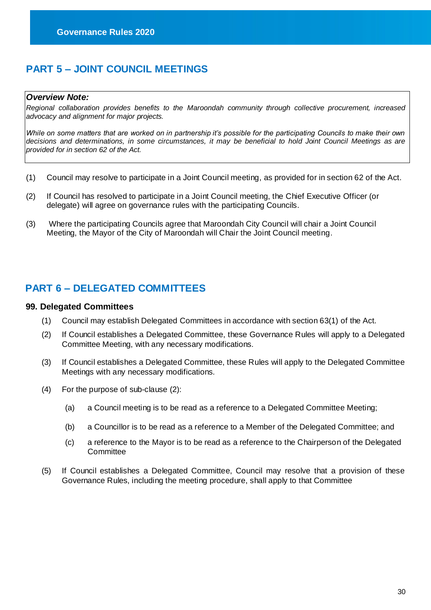## <span id="page-30-0"></span>**PART 5 – JOINT COUNCIL MEETINGS**

#### *Overview Note:*

*Regional collaboration provides benefits to the Maroondah community through collective procurement, increased advocacy and alignment for major projects.* 

*While on some matters that are worked on in partnership it's possible for the participating Councils to make their own decisions and determinations, in some circumstances, it may be beneficial to hold Joint Council Meetings as are provided for in section 62 of the Act.*

- (1) Council may resolve to participate in a Joint Council meeting, as provided for in section 62 of the Act.
- (2) If Council has resolved to participate in a Joint Council meeting, the Chief Executive Officer (or delegate) will agree on governance rules with the participating Councils.
- (3) Where the participating Councils agree that Maroondah City Council will chair a Joint Council Meeting, the Mayor of the City of Maroondah will Chair the Joint Council meeting.

## <span id="page-30-1"></span>**PART 6 – DELEGATED COMMITTEES**

#### <span id="page-30-2"></span>**99. Delegated Committees**

- (1) Council may establish Delegated Committees in accordance with section 63(1) of the Act.
- (2) If Council establishes a Delegated Committee, these Governance Rules will apply to a Delegated Committee Meeting, with any necessary modifications.
- (3) If Council establishes a Delegated Committee, these Rules will apply to the Delegated Committee Meetings with any necessary modifications.
- (4) For the purpose of sub-clause (2):
	- (a) a Council meeting is to be read as a reference to a Delegated Committee Meeting;
	- (b) a Councillor is to be read as a reference to a Member of the Delegated Committee; and
	- (c) a reference to the Mayor is to be read as a reference to the Chairperson of the Delegated **Committee**
- (5) If Council establishes a Delegated Committee, Council may resolve that a provision of these Governance Rules, including the meeting procedure, shall apply to that Committee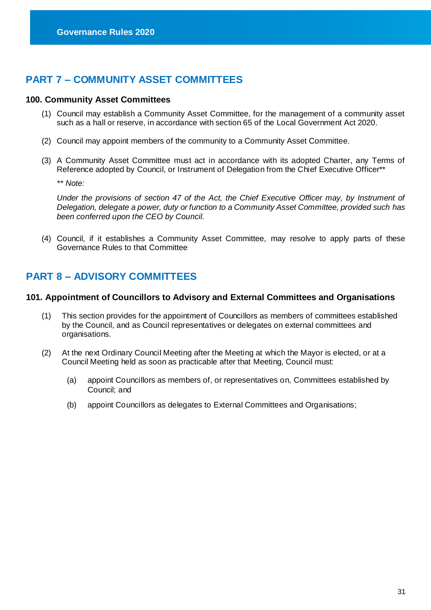## <span id="page-31-0"></span>**PART 7 – COMMUNITY ASSET COMMITTEES**

#### <span id="page-31-1"></span>**100. Community Asset Committees**

- (1) Council may establish a Community Asset Committee, for the management of a community asset such as a hall or reserve, in accordance with section 65 of the Local Government Act 2020.
- (2) Council may appoint members of the community to a Community Asset Committee.
- (3) A Community Asset Committee must act in accordance with its adopted Charter, any Terms of Reference adopted by Council, or Instrument of Delegation from the Chief Executive Officer\*\*

*\*\* Note:* 

*Under the provisions of section 47 of the Act, the Chief Executive Officer may, by Instrument of Delegation, delegate a power, duty or function to a Community Asset Committee, provided such has been conferred upon the CEO by Council.*

(4) Council, if it establishes a Community Asset Committee, may resolve to apply parts of these Governance Rules to that Committee

## <span id="page-31-2"></span>**PART 8 – ADVISORY COMMITTEES**

#### **101. Appointment of Councillors to Advisory and External Committees and Organisations**

- (1) This section provides for the appointment of Councillors as members of committees established by the Council, and as Council representatives or delegates on external committees and organisations.
- (2) At the next Ordinary Council Meeting after the Meeting at which the Mayor is elected, or at a Council Meeting held as soon as practicable after that Meeting, Council must:
	- (a) appoint Councillors as members of, or representatives on, Committees established by Council; and
	- (b) appoint Councillors as delegates to External Committees and Organisations;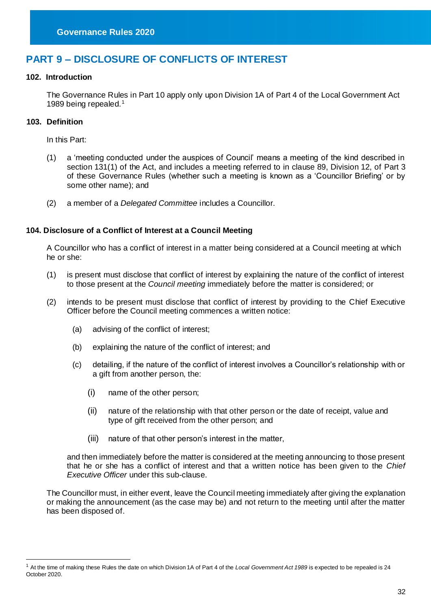## <span id="page-32-0"></span>**PART 9 – DISCLOSURE OF CONFLICTS OF INTEREST**

#### **102. Introduction**

The Governance Rules in Part 10 apply only upon Division 1A of Part 4 of the Local Government Act 1989 being repealed.<sup>1</sup>

#### **103. Definition**

-

In this Part:

- (1) a 'meeting conducted under the auspices of Council' means a meeting of the kind described in section 131(1) of the Act, and includes a meeting referred to in clause 89, Division 12, of Part 3 of these Governance Rules (whether such a meeting is known as a 'Councillor Briefing' or by some other name); and
- (2) a member of a *Delegated Committee* includes a Councillor.

#### **104. Disclosure of a Conflict of Interest at a Council Meeting**

A Councillor who has a conflict of interest in a matter being considered at a Council meeting at which he or she:

- (1) is present must disclose that conflict of interest by explaining the nature of the conflict of interest to those present at the *Council meeting* immediately before the matter is considered; or
- (2) intends to be present must disclose that conflict of interest by providing to the Chief Executive Officer before the Council meeting commences a written notice:
	- (a) advising of the conflict of interest;
	- (b) explaining the nature of the conflict of interest; and
	- (c) detailing, if the nature of the conflict of interest involves a Councillor's relationship with or a gift from another person, the:
		- (i) name of the other person;
		- (ii) nature of the relationship with that other person or the date of receipt, value and type of gift received from the other person; and
		- (iii) nature of that other person's interest in the matter,

and then immediately before the matter is considered at the meeting announcing to those present that he or she has a conflict of interest and that a written notice has been given to the *Chief Executive Officer* under this sub-clause.

The Councillor must, in either event, leave the Council meeting immediately after giving the explanation or making the announcement (as the case may be) and not return to the meeting until after the matter has been disposed of.

<sup>1</sup> At the time of making these Rules the date on which Division 1A of Part 4 of the *Local Government Act 1989* is expected to be repealed is 24 October 2020.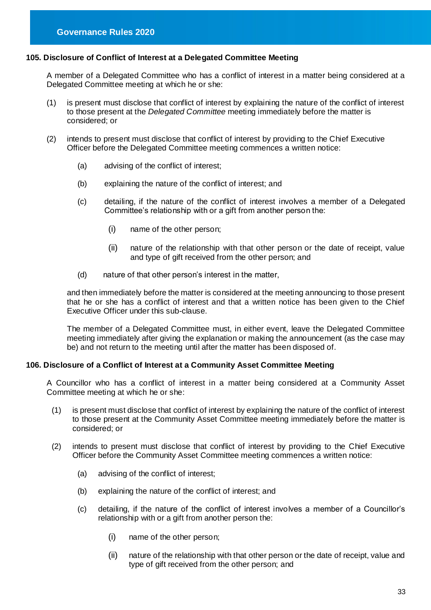#### **105. Disclosure of Conflict of Interest at a Delegated Committee Meeting**

A member of a Delegated Committee who has a conflict of interest in a matter being considered at a Delegated Committee meeting at which he or she:

- (1) is present must disclose that conflict of interest by explaining the nature of the conflict of interest to those present at the *Delegated Committee* meeting immediately before the matter is considered; or
- (2) intends to present must disclose that conflict of interest by providing to the Chief Executive Officer before the Delegated Committee meeting commences a written notice:
	- (a) advising of the conflict of interest;
	- (b) explaining the nature of the conflict of interest; and
	- (c) detailing, if the nature of the conflict of interest involves a member of a Delegated Committee's relationship with or a gift from another person the:
		- (i) name of the other person;
		- (ii) nature of the relationship with that other person or the date of receipt, value and type of gift received from the other person; and
	- (d) nature of that other person's interest in the matter,

and then immediately before the matter is considered at the meeting announcing to those present that he or she has a conflict of interest and that a written notice has been given to the Chief Executive Officer under this sub-clause.

The member of a Delegated Committee must, in either event, leave the Delegated Committee meeting immediately after giving the explanation or making the announcement (as the case may be) and not return to the meeting until after the matter has been disposed of.

#### **106. Disclosure of a Conflict of Interest at a Community Asset Committee Meeting**

A Councillor who has a conflict of interest in a matter being considered at a Community Asset Committee meeting at which he or she:

- (1) is present must disclose that conflict of interest by explaining the nature of the conflict of interest to those present at the Community Asset Committee meeting immediately before the matter is considered; or
- (2) intends to present must disclose that conflict of interest by providing to the Chief Executive Officer before the Community Asset Committee meeting commences a written notice:
	- (a) advising of the conflict of interest;
	- (b) explaining the nature of the conflict of interest; and
	- (c) detailing, if the nature of the conflict of interest involves a member of a Councillor's relationship with or a gift from another person the:
		- (i) name of the other person;
		- (ii) nature of the relationship with that other person or the date of receipt, value and type of gift received from the other person; and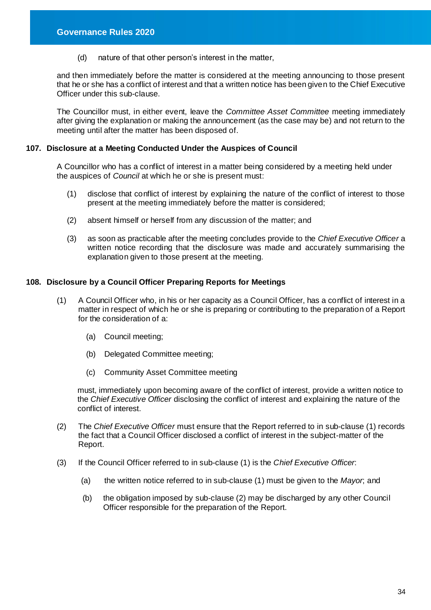(d) nature of that other person's interest in the matter,

and then immediately before the matter is considered at the meeting announcing to those present that he or she has a conflict of interest and that a written notice has been given to the Chief Executive Officer under this sub-clause.

The Councillor must, in either event, leave the *Committee Asset Committee* meeting immediately after giving the explanation or making the announcement (as the case may be) and not return to the meeting until after the matter has been disposed of.

#### **107. Disclosure at a Meeting Conducted Under the Auspices of Council**

A Councillor who has a conflict of interest in a matter being considered by a meeting held under the auspices of *Council* at which he or she is present must:

- (1) disclose that conflict of interest by explaining the nature of the conflict of interest to those present at the meeting immediately before the matter is considered;
- (2) absent himself or herself from any discussion of the matter; and
- (3) as soon as practicable after the meeting concludes provide to the *Chief Executive Officer* a written notice recording that the disclosure was made and accurately summarising the explanation given to those present at the meeting.

#### **108. Disclosure by a Council Officer Preparing Reports for Meetings**

- (1) A Council Officer who, in his or her capacity as a Council Officer, has a conflict of interest in a matter in respect of which he or she is preparing or contributing to the preparation of a Report for the consideration of a:
	- (a) Council meeting;
	- (b) Delegated Committee meeting;
	- (c) Community Asset Committee meeting

must, immediately upon becoming aware of the conflict of interest, provide a written notice to the *Chief Executive Officer* disclosing the conflict of interest and explaining the nature of the conflict of interest.

- (2) The *Chief Executive Officer* must ensure that the Report referred to in sub-clause (1) records the fact that a Council Officer disclosed a conflict of interest in the subject-matter of the Report.
- (3) If the Council Officer referred to in sub-clause (1) is the *Chief Executive Officer*:
	- (a) the written notice referred to in sub-clause (1) must be given to the *Mayor*; and
	- (b) the obligation imposed by sub-clause (2) may be discharged by any other Council Officer responsible for the preparation of the Report.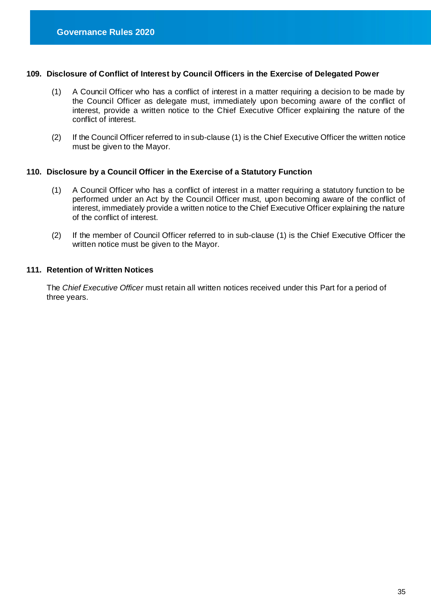#### **109. Disclosure of Conflict of Interest by Council Officers in the Exercise of Delegated Power**

- (1) A Council Officer who has a conflict of interest in a matter requiring a decision to be made by the Council Officer as delegate must, immediately upon becoming aware of the conflict of interest, provide a written notice to the Chief Executive Officer explaining the nature of the conflict of interest.
- (2) If the Council Officer referred to in sub-clause (1) is the Chief Executive Officer the written notice must be given to the Mayor.

#### **110. Disclosure by a Council Officer in the Exercise of a Statutory Function**

- (1) A Council Officer who has a conflict of interest in a matter requiring a statutory function to be performed under an Act by the Council Officer must, upon becoming aware of the conflict of interest, immediately provide a written notice to the Chief Executive Officer explaining the nature of the conflict of interest.
- (2) If the member of Council Officer referred to in sub-clause (1) is the Chief Executive Officer the written notice must be given to the Mayor.

#### **111. Retention of Written Notices**

The *Chief Executive Officer* must retain all written notices received under this Part for a period of three years.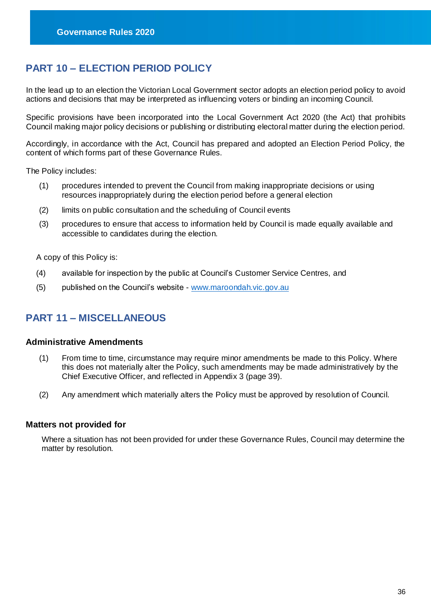## <span id="page-36-0"></span>**PART 10 – ELECTION PERIOD POLICY**

In the lead up to an election the Victorian Local Government sector adopts an election period policy to avoid actions and decisions that may be interpreted as influencing voters or binding an incoming Council.

Specific provisions have been incorporated into the Local Government Act 2020 (the Act) that prohibits Council making major policy decisions or publishing or distributing electoral matter during the election period.

Accordingly, in accordance with the Act, Council has prepared and adopted an Election Period Policy, the content of which forms part of these Governance Rules.

The Policy includes:

- (1) procedures intended to prevent the Council from making inappropriate decisions or using resources inappropriately during the election period before a general election
- (2) limits on public consultation and the scheduling of Council events
- (3) procedures to ensure that access to information held by Council is made equally available and accessible to candidates during the election.

A copy of this Policy is:

- (4) available for inspection by the public at Council's Customer Service Centres, and
- (5) published on the Council's website [www.maroondah.vic.gov.au](http://www.maroondah.vic.gov.au/)

## <span id="page-36-1"></span>**PART 11 – MISCELLANEOUS**

#### <span id="page-36-2"></span>**Administrative Amendments**

- (1) From time to time, circumstance may require minor amendments be made to this Policy. Where this does not materially alter the Policy, such amendments may be made administratively by the Chief Executive Officer, and reflected in Appendix 3 (page 39).
- (2) Any amendment which materially alters the Policy must be approved by resolution of Council.

#### <span id="page-36-3"></span>**Matters not provided for**

Where a situation has not been provided for under these Governance Rules, Council may determine the matter by resolution.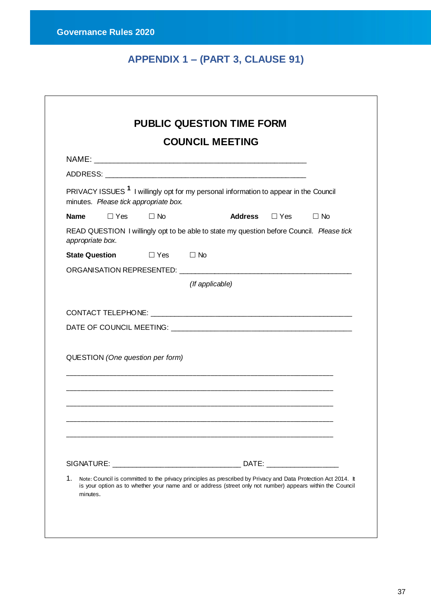# **APPENDIX 1 – (PART 3, CLAUSE 91)**

<span id="page-37-0"></span>

|                  |            |                                       |                 | <b>COUNCIL MEETING</b>                                                                                         |                                                                                                                                                                                                                             |
|------------------|------------|---------------------------------------|-----------------|----------------------------------------------------------------------------------------------------------------|-----------------------------------------------------------------------------------------------------------------------------------------------------------------------------------------------------------------------------|
|                  |            |                                       |                 |                                                                                                                |                                                                                                                                                                                                                             |
|                  |            |                                       |                 |                                                                                                                |                                                                                                                                                                                                                             |
|                  |            | minutes. Please tick appropriate box. |                 | PRIVACY ISSUES <sup>1</sup> I willingly opt for my personal information to appear in the Council               |                                                                                                                                                                                                                             |
| <b>Name</b>      | $\Box$ Yes | $\Box$ No                             |                 | <b>Address</b> □ Yes                                                                                           | $\Box$ No                                                                                                                                                                                                                   |
| appropriate box. |            |                                       |                 |                                                                                                                | READ QUESTION I willingly opt to be able to state my question before Council. Please tick                                                                                                                                   |
|                  |            | State Question □ Yes □ No             |                 |                                                                                                                |                                                                                                                                                                                                                             |
|                  |            |                                       |                 | ORGANISATION REPRESENTED: NAMES AND A REPORT OF STATE AND REPORT OF STATE AND REPORT OF STATE AND RESIDENCE OF |                                                                                                                                                                                                                             |
|                  |            |                                       | (If applicable) |                                                                                                                |                                                                                                                                                                                                                             |
|                  |            |                                       |                 |                                                                                                                |                                                                                                                                                                                                                             |
|                  |            | QUESTION (One question per form)      |                 |                                                                                                                |                                                                                                                                                                                                                             |
|                  |            |                                       |                 |                                                                                                                |                                                                                                                                                                                                                             |
|                  |            |                                       |                 |                                                                                                                |                                                                                                                                                                                                                             |
|                  |            |                                       |                 |                                                                                                                |                                                                                                                                                                                                                             |
|                  |            |                                       |                 |                                                                                                                |                                                                                                                                                                                                                             |
|                  |            |                                       |                 |                                                                                                                |                                                                                                                                                                                                                             |
|                  |            |                                       |                 |                                                                                                                |                                                                                                                                                                                                                             |
| 1.<br>minutes.   |            |                                       |                 |                                                                                                                | Note: Council is committed to the privacy principles as prescribed by Privacy and Data Protection Act 2014. It<br>is your option as to whether your name and or address (street only not number) appears within the Council |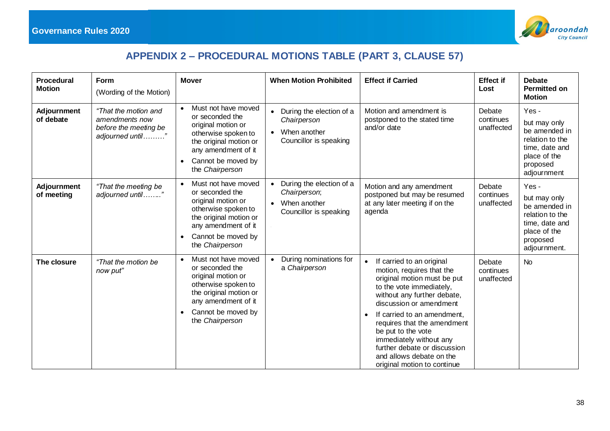

# **APPENDIX 2 – PROCEDURAL MOTIONS TABLE (PART 3, CLAUSE 57)**

<span id="page-38-0"></span>

| Procedural<br><b>Motion</b>      | Form<br>(Wording of the Motion)                                                     | <b>Mover</b>                                                                                                                                                                                            | <b>When Motion Prohibited</b>                                                                  | <b>Effect if Carried</b>                                                                                                                                                                                                                                                                                                                                                                           | <b>Effect if</b><br>Lost          | <b>Debate</b><br><b>Permitted on</b><br><b>Motion</b>                                                                  |
|----------------------------------|-------------------------------------------------------------------------------------|---------------------------------------------------------------------------------------------------------------------------------------------------------------------------------------------------------|------------------------------------------------------------------------------------------------|----------------------------------------------------------------------------------------------------------------------------------------------------------------------------------------------------------------------------------------------------------------------------------------------------------------------------------------------------------------------------------------------------|-----------------------------------|------------------------------------------------------------------------------------------------------------------------|
| <b>Adjournment</b><br>of debate  | "That the motion and<br>amendments now<br>before the meeting be<br>adjourned until" | Must not have moved<br>$\bullet$<br>or seconded the<br>original motion or<br>otherwise spoken to<br>the original motion or<br>any amendment of it<br>Cannot be moved by<br>$\bullet$<br>the Chairperson | During the election of a<br>Chairperson<br>When another<br>$\bullet$<br>Councillor is speaking | Motion and amendment is<br>postponed to the stated time<br>and/or date                                                                                                                                                                                                                                                                                                                             | Debate<br>continues<br>unaffected | Yes-<br>but may only<br>be amended in<br>relation to the<br>time, date and<br>place of the<br>proposed<br>adjournment  |
| <b>Adjournment</b><br>of meeting | "That the meeting be<br>adjourned until"                                            | Must not have moved<br>$\bullet$<br>or seconded the<br>original motion or<br>otherwise spoken to<br>the original motion or<br>any amendment of it<br>Cannot be moved by<br>$\bullet$<br>the Chairperson | • During the election of a<br>Chairperson;<br>• When another<br>Councillor is speaking         | Motion and any amendment<br>postponed but may be resumed<br>at any later meeting if on the<br>agenda                                                                                                                                                                                                                                                                                               | Debate<br>continues<br>unaffected | Yes-<br>but may only<br>be amended in<br>relation to the<br>time, date and<br>place of the<br>proposed<br>adjournment. |
| The closure                      | "That the motion be<br>now put"                                                     | Must not have moved<br>$\bullet$<br>or seconded the<br>original motion or<br>otherwise spoken to<br>the original motion or<br>any amendment of it<br>Cannot be moved by<br>$\bullet$<br>the Chairperson | • During nominations for<br>a Chairperson                                                      | If carried to an original<br>$\bullet$<br>motion, requires that the<br>original motion must be put<br>to the vote immediately,<br>without any further debate,<br>discussion or amendment<br>If carried to an amendment,<br>requires that the amendment<br>be put to the vote<br>immediately without any<br>further debate or discussion<br>and allows debate on the<br>original motion to continue | Debate<br>continues<br>unaffected | <b>No</b>                                                                                                              |